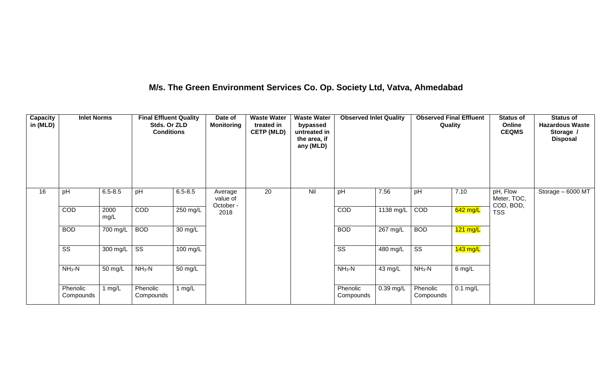## **M/s. The Green Environment Services Co. Op. Society Ltd, Vatva, Ahmedabad**

| Capacity<br>in (MLD) | <b>Inlet Norms</b>     |              | <b>Final Effluent Quality</b><br>Stds. Or ZLD<br><b>Conditions</b> |                    | Date of<br><b>Monitoring</b>     | <b>Waste Water</b><br>treated in<br><b>CETP (MLD)</b> | <b>Waste Water</b><br>bypassed<br>untreated in<br>the area, if<br>any (MLD) | <b>Observed Inlet Quality</b> |                    | <b>Observed Final Effluent</b><br>Quality |            | <b>Status of</b><br>Online<br><b>CEQMS</b> | <b>Status of</b><br><b>Hazardous Waste</b><br>Storage /<br><b>Disposal</b> |
|----------------------|------------------------|--------------|--------------------------------------------------------------------|--------------------|----------------------------------|-------------------------------------------------------|-----------------------------------------------------------------------------|-------------------------------|--------------------|-------------------------------------------|------------|--------------------------------------------|----------------------------------------------------------------------------|
| 16                   | pH                     | $6.5 - 8.5$  | pH                                                                 | $6.5 - 8.5$        | Average<br>value of<br>October - | 20                                                    | Nil                                                                         | pH                            | 7.56               | pH                                        | 7.10       | pH, Flow<br>Meter, TOC,<br>COD, BOD,       | Storage - 6000 MT                                                          |
|                      | COD                    | 2000<br>mg/L | COD                                                                | 250 mg/L           | 2018                             |                                                       |                                                                             | COD                           | 1138 mg/L          | COD                                       | 642 mg/L   | <b>TSS</b>                                 |                                                                            |
|                      | <b>BOD</b>             | 700 mg/L     | <b>BOD</b>                                                         | 30 mg/L            |                                  |                                                       |                                                                             | <b>BOD</b>                    | $267 \text{ mg/L}$ | <b>BOD</b>                                | $121$ mg/L |                                            |                                                                            |
|                      | $\overline{\text{ss}}$ | 300 mg/L     | $\overline{\text{ss}}$                                             | $100 \text{ mg/L}$ |                                  |                                                       |                                                                             | $\overline{\text{ss}}$        | $480$ mg/L         | $\overline{\text{ss}}$                    | $143$ mg/L |                                            |                                                                            |
|                      | $NH3-N$                | 50 mg/L      | $NH3-N$                                                            | 50 mg/L            |                                  |                                                       |                                                                             | $NH3-N$                       | 43 mg/L            | $NH3-N$                                   | $6$ mg/L   |                                            |                                                                            |
|                      | Phenolic<br>Compounds  | 1 $mg/L$     | Phenolic<br>Compounds                                              | 1 $mg/L$           |                                  |                                                       |                                                                             | Phenolic<br>Compounds         | $0.39$ mg/L        | Phenolic<br>Compounds                     | $0.1$ mg/L |                                            |                                                                            |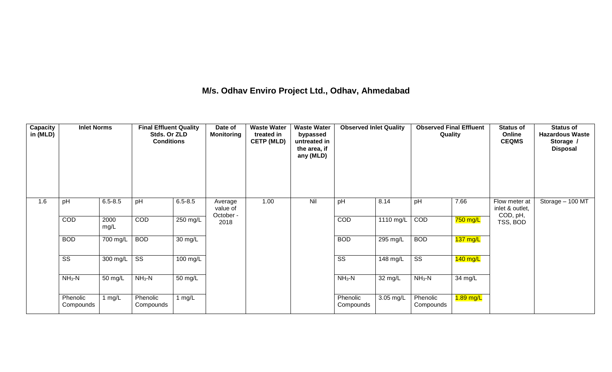## **M/s. Odhav Enviro Project Ltd., Odhav, Ahmedabad**

| Capacity<br>in (MLD) | <b>Inlet Norms</b>     |              | <b>Final Effluent Quality</b><br>Stds. Or ZLD<br><b>Conditions</b> |             | Date of<br><b>Monitoring</b>     | <b>Waste Water</b><br>treated in<br><b>CETP (MLD)</b> | <b>Waste Water</b><br>bypassed<br>untreated in<br>the area, if<br>any (MLD) | <b>Observed Inlet Quality</b> |             | <b>Observed Final Effluent</b><br>Quality |                       | <b>Status of</b><br>Online<br><b>CEQMS</b>   | <b>Status of</b><br><b>Hazardous Waste</b><br>Storage /<br><b>Disposal</b> |
|----------------------|------------------------|--------------|--------------------------------------------------------------------|-------------|----------------------------------|-------------------------------------------------------|-----------------------------------------------------------------------------|-------------------------------|-------------|-------------------------------------------|-----------------------|----------------------------------------------|----------------------------------------------------------------------------|
| 1.6                  | pH                     | $6.5 - 8.5$  | pH                                                                 | $6.5 - 8.5$ | Average<br>value of<br>October - | 1.00                                                  | Nil                                                                         | pH                            | 8.14        | pH                                        | 7.66                  | Flow meter at<br>inlet & outlet,<br>COD, pH, | Storage - 100 MT                                                           |
|                      | COD                    | 2000<br>mg/L | <b>COD</b>                                                         | $250$ mg/L  | 2018                             |                                                       |                                                                             | COD                           | 1110 mg/L   | COD                                       | 750 mg/L              | TSS, BOD                                     |                                                                            |
|                      | <b>BOD</b>             | 700 mg/L     | <b>BOD</b>                                                         | 30 mg/L     |                                  |                                                       |                                                                             | <b>BOD</b>                    | 295 mg/L    | <b>BOD</b>                                | $\overline{137}$ mg/L |                                              |                                                                            |
|                      | $\overline{\text{ss}}$ | 300 mg/L     | $\overline{\text{ss}}$                                             | 100 mg/L    |                                  |                                                       |                                                                             | $\overline{\text{ss}}$        | 148 mg/L    | $\overline{\text{ss}}$                    | $140$ mg/L            |                                              |                                                                            |
|                      | $NH3-N$                | 50 mg/L      | $NH3-N$                                                            | 50 mg/L     |                                  |                                                       |                                                                             | $NH3-N$                       | 32 mg/L     | $NH3-N$                                   | 34 mg/L               |                                              |                                                                            |
|                      | Phenolic<br>Compounds  | l mg/L       | Phenolic<br>Compounds                                              | 1 $mg/L$    |                                  |                                                       |                                                                             | Phenolic<br>Compounds         | $3.05$ mg/L | Phenolic<br>Compounds                     | 1.89 mg/L             |                                              |                                                                            |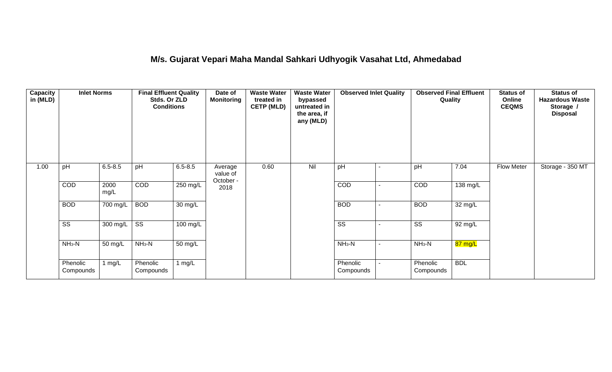## **M/s. Gujarat Vepari Maha Mandal Sahkari Udhyogik Vasahat Ltd, Ahmedabad**

| Capacity<br>in (MLD) | <b>Inlet Norms</b>     |              | <b>Final Effluent Quality</b><br>Stds. Or ZLD<br><b>Conditions</b> |                      | Date of<br><b>Monitoring</b>     | <b>Waste Water</b><br>treated in<br><b>CETP (MLD)</b> | <b>Waste Water</b><br>bypassed<br>untreated in<br>the area, if<br>any (MLD) | <b>Observed Inlet Quality</b> |                | <b>Observed Final Effluent</b><br>Quality |            | <b>Status of</b><br>Online<br><b>CEQMS</b> | <b>Status of</b><br><b>Hazardous Waste</b><br>Storage /<br><b>Disposal</b> |
|----------------------|------------------------|--------------|--------------------------------------------------------------------|----------------------|----------------------------------|-------------------------------------------------------|-----------------------------------------------------------------------------|-------------------------------|----------------|-------------------------------------------|------------|--------------------------------------------|----------------------------------------------------------------------------|
| 1.00                 | pH                     | $6.5 - 8.5$  | pH                                                                 | $6.5 - 8.5$          | Average<br>value of<br>October - | 0.60                                                  | Nil                                                                         | pH                            | ۰              | pH                                        | 7.04       | Flow Meter                                 | Storage - 350 MT                                                           |
|                      | COD                    | 2000<br>mg/L | COD                                                                | $250$ mg/L           | 2018                             |                                                       |                                                                             | COD                           | ۰              | COD                                       | 138 mg/L   |                                            |                                                                            |
|                      | <b>BOD</b>             | 700 mg/L     | <b>BOD</b>                                                         | 30 mg/L              |                                  |                                                       |                                                                             | <b>BOD</b>                    | $\blacksquare$ | <b>BOD</b>                                | 32 mg/L    |                                            |                                                                            |
|                      | $\overline{\text{ss}}$ | 300 mg/L     | $\overline{\text{ss}}$                                             | $100 \text{ mg/L}$   |                                  |                                                       |                                                                             | $\overline{\text{ss}}$        |                | $\overline{\text{ss}}$                    | 92 mg/L    |                                            |                                                                            |
|                      | $NH3-N$                | 50 mg/L      | $NH3-N$                                                            | $\overline{50}$ mg/L |                                  |                                                       |                                                                             | $NH3-N$                       | $\blacksquare$ | $NH3-N$                                   | 87 mg/L    |                                            |                                                                            |
|                      | Phenolic<br>Compounds  | 1 mg/L       | Phenolic<br>Compounds                                              | 1 mg/L               |                                  |                                                       |                                                                             | Phenolic<br>Compounds         |                | Phenolic<br>Compounds                     | <b>BDL</b> |                                            |                                                                            |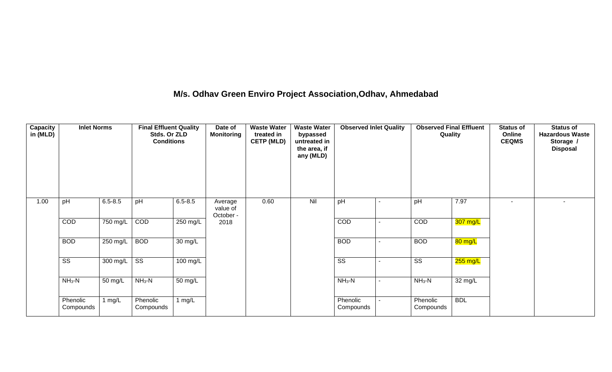## **M/s. Odhav Green Enviro Project Association,Odhav, Ahmedabad**

| Capacity<br>in (MLD) | <b>Inlet Norms</b>     |             | <b>Final Effluent Quality</b><br>Stds. Or ZLD<br><b>Conditions</b> |             | Date of<br><b>Monitoring</b>     | <b>Waste Water</b><br>treated in<br><b>CETP (MLD)</b> | <b>Waste Water</b><br>bypassed<br>untreated in<br>the area, if<br>any (MLD) | <b>Observed Inlet Quality</b> | <b>Observed Final Effluent</b><br>Quality |            | <b>Status of</b><br>Online<br><b>CEQMS</b> | <b>Status of</b><br><b>Hazardous Waste</b><br>Storage /<br><b>Disposal</b> |
|----------------------|------------------------|-------------|--------------------------------------------------------------------|-------------|----------------------------------|-------------------------------------------------------|-----------------------------------------------------------------------------|-------------------------------|-------------------------------------------|------------|--------------------------------------------|----------------------------------------------------------------------------|
| 1.00                 | pH                     | $6.5 - 8.5$ | pH                                                                 | $6.5 - 8.5$ | Average<br>value of<br>October - | 0.60                                                  | Nil                                                                         | pH                            | pH                                        | 7.97       | $\overline{\phantom{a}}$                   | $\sim$                                                                     |
|                      | COD                    | 750 mg/L    | COD                                                                | 250 mg/L    | 2018                             |                                                       |                                                                             | COD                           | <b>COD</b>                                | 307 mg/L   |                                            |                                                                            |
|                      | <b>BOD</b>             | 250 mg/L    | <b>BOD</b>                                                         | 30 mg/L     |                                  |                                                       |                                                                             | <b>BOD</b>                    | <b>BOD</b>                                | 80 mg/L    |                                            |                                                                            |
|                      | $\overline{\text{ss}}$ | 300 mg/L    | $\overline{\text{ss}}$                                             | 100 mg/L    |                                  |                                                       |                                                                             | $\overline{\text{ss}}$        | SS                                        | $255$ mg/L |                                            |                                                                            |
|                      | $NH3-N$                | 50 mg/L     | $NH3-N$                                                            | 50 mg/L     |                                  |                                                       |                                                                             | $NH3-N$                       | $NH3-N$                                   | 32 mg/L    |                                            |                                                                            |
|                      | Phenolic<br>Compounds  | 1 mg/L      | Phenolic<br>Compounds                                              | 1 $mg/L$    |                                  |                                                       |                                                                             | Phenolic<br>Compounds         | Phenolic<br>Compounds                     | <b>BDL</b> |                                            |                                                                            |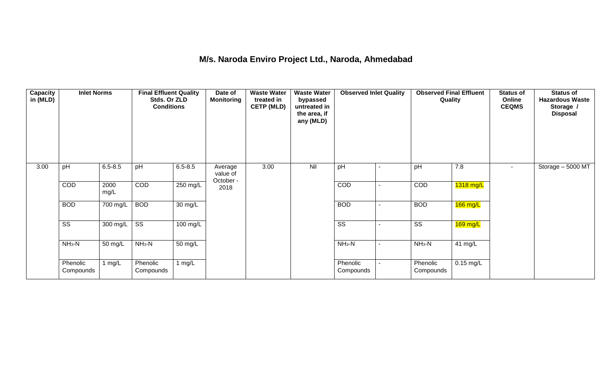## **M/s. Naroda Enviro Project Ltd., Naroda, Ahmedabad**

| <b>Capacity</b><br>in (MLD) | <b>Inlet Norms</b>     |                       | <b>Final Effluent Quality</b><br>Stds. Or ZLD<br><b>Conditions</b> |                      | Date of<br><b>Monitoring</b>     | <b>Waste Water</b><br>treated in<br><b>CETP (MLD)</b> | <b>Waste Water</b><br>bypassed<br>untreated in<br>the area, if<br>any (MLD) | <b>Observed Inlet Quality</b> |                | <b>Observed Final Effluent</b><br>Quality |             | <b>Status of</b><br>Online<br><b>CEQMS</b> | <b>Status of</b><br><b>Hazardous Waste</b><br>Storage /<br><b>Disposal</b> |
|-----------------------------|------------------------|-----------------------|--------------------------------------------------------------------|----------------------|----------------------------------|-------------------------------------------------------|-----------------------------------------------------------------------------|-------------------------------|----------------|-------------------------------------------|-------------|--------------------------------------------|----------------------------------------------------------------------------|
| 3.00                        | pH                     | $6.5 - 8.5$           | pH                                                                 | $6.5 - 8.5$          | Average<br>value of<br>October - | 3.00                                                  | Nil                                                                         | pH                            |                | pH                                        | 7.8         | $\sim$                                     | Storage - 5000 MT                                                          |
|                             | COD                    | 2000<br>mg/L          | COD                                                                | 250 mg/L             | 2018                             |                                                       |                                                                             | COD                           | $\blacksquare$ | COD                                       | 1318 mg/L   |                                            |                                                                            |
|                             | <b>BOD</b>             | 700 mg/L              | <b>BOD</b>                                                         | $\overline{30}$ mg/L |                                  |                                                       |                                                                             | <b>BOD</b>                    | $\blacksquare$ | <b>BOD</b>                                | $166$ mg/L  |                                            |                                                                            |
|                             | $\overline{\text{ss}}$ | $\overline{300}$ mg/L | $\overline{\text{ss}}$                                             | 100 mg/L             |                                  |                                                       |                                                                             | $\overline{\text{ss}}$        |                | $\overline{\text{ss}}$                    | $169$ mg/L  |                                            |                                                                            |
|                             | $NH3-N$                | 50 mg/L               | $NH3-N$                                                            | 50 mg/L              |                                  |                                                       |                                                                             | $NH_3-N$                      | $\blacksquare$ | $NH3-N$                                   | 41 mg/L     |                                            |                                                                            |
|                             | Phenolic<br>Compounds  | 1 $mg/L$              | Phenolic<br>Compounds                                              | 1 $mg/L$             |                                  |                                                       |                                                                             | Phenolic<br>Compounds         |                | Phenolic<br>Compounds                     | $0.15$ mg/L |                                            |                                                                            |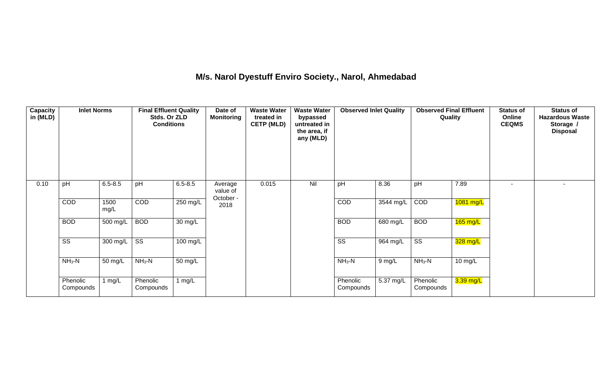## **M/s. Narol Dyestuff Enviro Society., Narol, Ahmedabad**

| <b>Capacity</b><br>in (MLD) | <b>Inlet Norms</b>     |              | <b>Final Effluent Quality</b><br>Stds. Or ZLD<br><b>Conditions</b> |                      | Date of<br><b>Monitoring</b>     | <b>Waste Water</b><br>treated in<br><b>CETP (MLD)</b> | <b>Waste Water</b><br>bypassed<br>untreated in<br>the area, if<br>any (MLD) | <b>Observed Inlet Quality</b> |            | <b>Observed Final Effluent</b><br>Quality |             | <b>Status of</b><br>Online<br><b>CEQMS</b> | <b>Status of</b><br><b>Hazardous Waste</b><br>Storage /<br><b>Disposal</b> |
|-----------------------------|------------------------|--------------|--------------------------------------------------------------------|----------------------|----------------------------------|-------------------------------------------------------|-----------------------------------------------------------------------------|-------------------------------|------------|-------------------------------------------|-------------|--------------------------------------------|----------------------------------------------------------------------------|
| 0.10                        | pH                     | $6.5 - 8.5$  | pH                                                                 | $6.5 - 8.5$          | Average<br>value of<br>October - | 0.015                                                 | Nil                                                                         | pH                            | 8.36       | pH                                        | 7.89        |                                            |                                                                            |
|                             | COD                    | 1500<br>mg/L | COD                                                                | 250 mg/L             | 2018                             |                                                       |                                                                             | COD                           | 3544 mg/L  | COD                                       | 1081 mg/L   |                                            |                                                                            |
|                             | <b>BOD</b>             | 500 mg/L     | <b>BOD</b>                                                         | 30 mg/L              |                                  |                                                       |                                                                             | <b>BOD</b>                    | 680 mg/L   | <b>BOD</b>                                | $165$ mg/L  |                                            |                                                                            |
|                             | $\overline{\text{ss}}$ | 300 mg/L     | $\overline{\text{ss}}$                                             | 100 mg/L             |                                  |                                                       |                                                                             | SS                            | $964$ mg/L | $\overline{\text{SS}}$                    | 328 mg/L    |                                            |                                                                            |
|                             | $NH3-N$                | 50 mg/L      | $NH3-N$                                                            | $\overline{50}$ mg/L |                                  |                                                       |                                                                             | $NH3-N$                       | $9$ mg/L   | $NH3-N$                                   | 10 mg/L     |                                            |                                                                            |
|                             | Phenolic<br>Compounds  | 1 mg/L       | Phenolic<br>Compounds                                              | 1 $mg/L$             |                                  |                                                       |                                                                             | Phenolic<br>Compounds         | 5.37 mg/L  | Phenolic<br>Compounds                     | $3.39$ mg/L |                                            |                                                                            |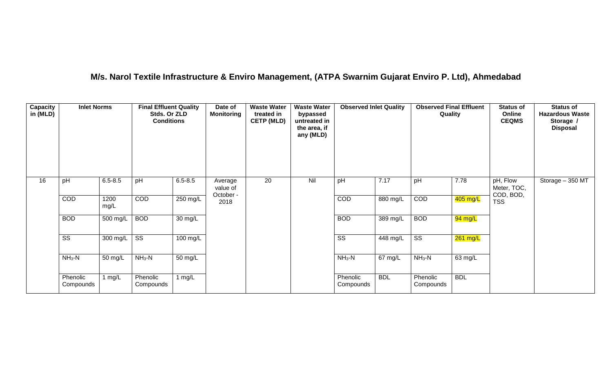## **M/s. Narol Textile Infrastructure & Enviro Management, (ATPA Swarnim Gujarat Enviro P. Ltd), Ahmedabad**

| Capacity<br>in (MLD) | <b>Inlet Norms</b>     |                       | <b>Final Effluent Quality</b><br>Stds. Or ZLD<br><b>Conditions</b> |                    | Date of<br><b>Monitoring</b>     | <b>Waste Water</b><br>treated in<br><b>CETP (MLD)</b> | <b>Waste Water</b><br>bypassed<br>untreated in<br>the area, if<br>any (MLD) | <b>Observed Inlet Quality</b> |            | <b>Observed Final Effluent</b><br>Quality |            | <b>Status of</b><br>Online<br><b>CEQMS</b> | <b>Status of</b><br><b>Hazardous Waste</b><br>Storage /<br><b>Disposal</b> |
|----------------------|------------------------|-----------------------|--------------------------------------------------------------------|--------------------|----------------------------------|-------------------------------------------------------|-----------------------------------------------------------------------------|-------------------------------|------------|-------------------------------------------|------------|--------------------------------------------|----------------------------------------------------------------------------|
| 16                   | pH                     | $6.5 - 8.5$           | pH                                                                 | $6.5 - 8.5$        | Average<br>value of<br>October - | 20                                                    | Nil                                                                         | pH                            | 7.17       | pH                                        | 7.78       | pH, Flow<br>Meter, TOC,<br>COD, BOD,       | Storage - 350 MT                                                           |
|                      | COD                    | 1200<br>mg/L          | COD                                                                | 250 mg/L           | 2018                             |                                                       |                                                                             | COD                           | 880 mg/L   | COD                                       | 405 mg/L   | <b>TSS</b>                                 |                                                                            |
|                      | <b>BOD</b>             | 500 mg/L              | <b>BOD</b>                                                         | 30 mg/L            |                                  |                                                       |                                                                             | <b>BOD</b>                    | $389$ mg/L | <b>BOD</b>                                | 94 mg/L    |                                            |                                                                            |
|                      | $\overline{\text{ss}}$ | $\overline{300}$ mg/L | $\overline{\text{ss}}$                                             | $100 \text{ mg/L}$ |                                  |                                                       |                                                                             | $\overline{\text{ss}}$        | $448$ mg/L | $\overline{\text{ss}}$                    | 261 mg/L   |                                            |                                                                            |
|                      | $NH3-N$                | 50 mg/L               | $NH3-N$                                                            | 50 mg/L            |                                  |                                                       |                                                                             | $NH3-N$                       | 67 mg/L    | $NH_3-N$                                  | 63 mg/L    |                                            |                                                                            |
|                      | Phenolic<br>Compounds  | 1 $mg/L$              | Phenolic<br>Compounds                                              | 1 $mg/L$           |                                  |                                                       |                                                                             | Phenolic<br>Compounds         | <b>BDL</b> | Phenolic<br>Compounds                     | <b>BDL</b> |                                            |                                                                            |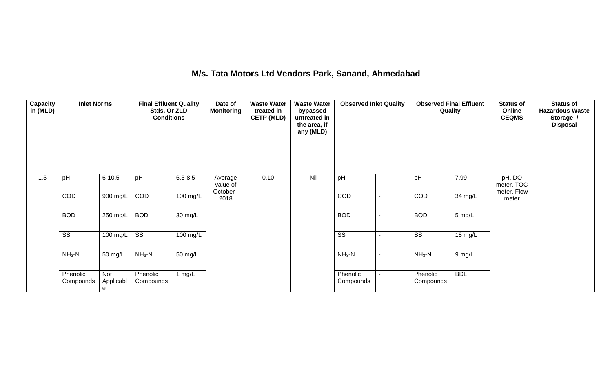## **M/s. Tata Motors Ltd Vendors Park, Sanand, Ahmedabad**

| <b>Capacity</b><br>in (MLD) | <b>Inlet Norms</b>     |                       | <b>Final Effluent Quality</b><br>Stds. Or ZLD<br><b>Conditions</b> |             | Date of<br><b>Monitoring</b>     | <b>Waste Water</b><br>treated in<br><b>CETP (MLD)</b> | <b>Waste Water</b><br>bypassed<br>untreated in<br>the area, if<br>any (MLD) | <b>Observed Inlet Quality</b> | <b>Observed Final Effluent</b><br>Quality |            | <b>Status of</b><br>Online<br><b>CEQMS</b> | <b>Status of</b><br><b>Hazardous Waste</b><br>Storage /<br><b>Disposal</b> |
|-----------------------------|------------------------|-----------------------|--------------------------------------------------------------------|-------------|----------------------------------|-------------------------------------------------------|-----------------------------------------------------------------------------|-------------------------------|-------------------------------------------|------------|--------------------------------------------|----------------------------------------------------------------------------|
| 1.5                         | pH                     | $6 - 10.5$            | pH                                                                 | $6.5 - 8.5$ | Average<br>value of<br>October - | 0.10                                                  | Nil                                                                         | pH                            | pH                                        | 7.99       | pH, DO<br>meter, TOC<br>meter, Flow        | $\sim$                                                                     |
|                             | COD                    | 900 mg/L              | COD                                                                | 100 mg/L    | 2018                             |                                                       |                                                                             | COD                           | COD                                       | 34 mg/L    | meter                                      |                                                                            |
|                             | <b>BOD</b>             | 250 mg/L              | <b>BOD</b>                                                         | 30 mg/L     |                                  |                                                       |                                                                             | <b>BOD</b>                    | <b>BOD</b>                                | 5 mg/L     |                                            |                                                                            |
|                             | $\overline{\text{SS}}$ | 100 mg/L              | $\overline{\text{ss}}$                                             | $100$ mg/L  |                                  |                                                       |                                                                             | $\overline{\text{ss}}$        | $\overline{\text{SS}}$                    | 18 mg/L    |                                            |                                                                            |
|                             | $NH3-N$                | 50 mg/L               | $NH3-N$                                                            | 50 mg/L     |                                  |                                                       |                                                                             | $NH3-N$                       | $NH3-N$                                   | 9 mg/L     |                                            |                                                                            |
|                             | Phenolic<br>Compounds  | Not<br>Applicabl<br>e | Phenolic<br>Compounds                                              | 1 $mg/L$    |                                  |                                                       |                                                                             | Phenolic<br>Compounds         | Phenolic<br>Compounds                     | <b>BDL</b> |                                            |                                                                            |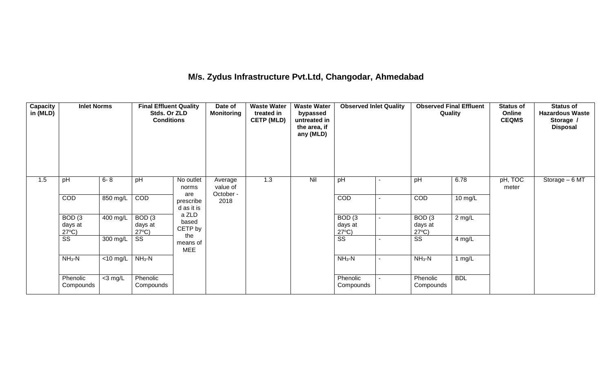## **M/s. Zydus Infrastructure Pvt.Ltd, Changodar, Ahmedabad**

| <b>Capacity</b><br>in (MLD) | <b>Inlet Norms</b>                              |                               | <b>Final Effluent Quality</b><br>Stds. Or ZLD<br><b>Conditions</b> |                               | Date of<br><b>Monitoring</b>     | <b>Waste Water</b><br>treated in<br><b>CETP (MLD)</b> | <b>Waste Water</b><br>bypassed<br>untreated in<br>the area, if<br>any (MLD) | <b>Observed Inlet Quality</b>                   |                | <b>Observed Final Effluent</b><br>Quality       |            | <b>Status of</b><br>Online<br><b>CEQMS</b> | <b>Status of</b><br><b>Hazardous Waste</b><br>Storage /<br><b>Disposal</b> |
|-----------------------------|-------------------------------------------------|-------------------------------|--------------------------------------------------------------------|-------------------------------|----------------------------------|-------------------------------------------------------|-----------------------------------------------------------------------------|-------------------------------------------------|----------------|-------------------------------------------------|------------|--------------------------------------------|----------------------------------------------------------------------------|
| 1.5                         | pH                                              | $6 - 8$                       | pH                                                                 | No outlet<br>norms<br>are     | Average<br>value of<br>October - | 1.3                                                   | Nil                                                                         | pH                                              | $\blacksquare$ | pH                                              | 6.78       | pH, TOC<br>meter                           | Storage - 6 MT                                                             |
|                             | COD                                             | 850 mg/L                      | COD                                                                | prescribe<br>d as it is       | 2018                             |                                                       |                                                                             | <b>COD</b>                                      |                | COD                                             | 10 mg/L    |                                            |                                                                            |
|                             | BOD <sub>(3</sub><br>days at<br>$27^{\circ}C$ ) | 400 mg/L                      | BOD <sub>(3</sub><br>days at<br>$27^{\circ}C$ )                    | a ZLD<br>based<br>CETP by     |                                  |                                                       |                                                                             | BOD <sub>(3</sub><br>days at<br>$27^{\circ}C$ ) | $\blacksquare$ | BOD <sub>(3</sub><br>days at<br>$27^{\circ}C$ ) | $2$ mg/L   |                                            |                                                                            |
|                             | SS                                              | 300 mg/L                      | SS                                                                 | the<br>means of<br><b>MEE</b> |                                  |                                                       |                                                                             | $\overline{\text{ss}}$                          |                | SS                                              | 4 mg/L     |                                            |                                                                            |
|                             | $NH3-N$                                         | $\overline{<}10 \text{ mg/L}$ | $NH3-N$                                                            |                               |                                  |                                                       |                                                                             | $NH3-N$                                         | $\blacksquare$ | $NH3-N$                                         | 1 $mg/L$   |                                            |                                                                            |
|                             | Phenolic<br>Compounds                           | $<$ 3 mg/L                    | Phenolic<br>Compounds                                              |                               |                                  |                                                       |                                                                             | Phenolic<br>Compounds                           |                | Phenolic<br>Compounds                           | <b>BDL</b> |                                            |                                                                            |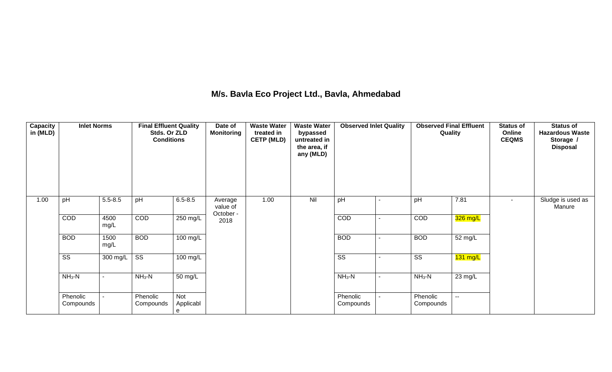## **M/s. Bavla Eco Project Ltd., Bavla, Ahmedabad**

| Capacity<br>in (MLD) | <b>Inlet Norms</b>     |              | <b>Final Effluent Quality</b><br>Stds. Or ZLD<br><b>Conditions</b> |                       | Date of<br><b>Monitoring</b> | <b>Waste Water</b><br>treated in<br><b>CETP (MLD)</b> | <b>Waste Water</b><br>bypassed<br>untreated in<br>the area, if<br>any (MLD) | <b>Observed Inlet Quality</b> | <b>Observed Final Effluent</b><br>Quality |                       | <b>Status of</b><br>Online<br><b>CEQMS</b> | <b>Status of</b><br><b>Hazardous Waste</b><br>Storage /<br><b>Disposal</b> |
|----------------------|------------------------|--------------|--------------------------------------------------------------------|-----------------------|------------------------------|-------------------------------------------------------|-----------------------------------------------------------------------------|-------------------------------|-------------------------------------------|-----------------------|--------------------------------------------|----------------------------------------------------------------------------|
| 1.00                 | pH                     | $5.5 - 8.5$  | pH                                                                 | $6.5 - 8.5$           | Average<br>value of          | 1.00                                                  | Nil                                                                         | pH                            | pH                                        | 7.81                  | $\blacksquare$                             | Sludge is used as<br>Manure                                                |
|                      | COD                    | 4500<br>mg/L | COD                                                                | 250 mg/L              | October -<br>2018            |                                                       |                                                                             | COD                           | COD                                       | 326 mg/L              |                                            |                                                                            |
|                      | <b>BOD</b>             | 1500<br>mg/L | <b>BOD</b>                                                         | 100 mg/L              |                              |                                                       |                                                                             | <b>BOD</b>                    | <b>BOD</b>                                | 52 mg/L               |                                            |                                                                            |
|                      | $\overline{\text{ss}}$ | 300 mg/L     | $\overline{\text{ss}}$                                             | $\overline{100}$ mg/L |                              |                                                       |                                                                             | $\overline{\text{ss}}$        | $\overline{\text{SS}}$                    | $\overline{131}$ mg/L |                                            |                                                                            |
|                      | $NH3-N$                | $\sim$       | $NH3-N$                                                            | 50 mg/L               |                              |                                                       |                                                                             | $NH_3-N$                      | $NH3-N$                                   | 23 mg/L               |                                            |                                                                            |
|                      | Phenolic<br>Compounds  |              | Phenolic<br>Compounds                                              | Not<br>Applicabl<br>е |                              |                                                       |                                                                             | Phenolic<br>Compounds         | Phenolic<br>Compounds                     | $\overline{a}$        |                                            |                                                                            |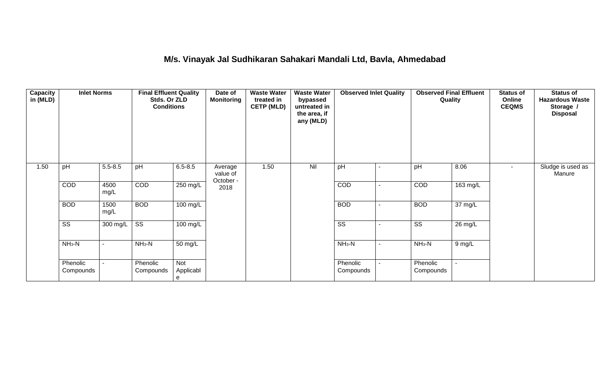## **M/s. Vinayak Jal Sudhikaran Sahakari Mandali Ltd, Bavla, Ahmedabad**

| Capacity<br>in (MLD) | <b>Inlet Norms</b>     |              | <b>Final Effluent Quality</b><br>Stds. Or ZLD<br><b>Conditions</b> |                       | Date of<br><b>Monitoring</b>     | <b>Waste Water</b><br>treated in<br><b>CETP (MLD)</b> | <b>Waste Water</b><br>bypassed<br>untreated in<br>the area, if<br>any (MLD) | <b>Observed Inlet Quality</b> |                          | <b>Observed Final Effluent</b><br>Quality |                      | <b>Status of</b><br>Online<br><b>CEQMS</b> | <b>Status of</b><br><b>Hazardous Waste</b><br>Storage /<br><b>Disposal</b> |
|----------------------|------------------------|--------------|--------------------------------------------------------------------|-----------------------|----------------------------------|-------------------------------------------------------|-----------------------------------------------------------------------------|-------------------------------|--------------------------|-------------------------------------------|----------------------|--------------------------------------------|----------------------------------------------------------------------------|
| 1.50                 | pH                     | $5.5 - 8.5$  | pH                                                                 | $6.5 - 8.5$           | Average<br>value of<br>October - | 1.50                                                  | Nil                                                                         | pH                            | ۰                        | pH                                        | 8.06                 | $\sim$                                     | Sludge is used as<br>Manure                                                |
|                      | <b>COD</b>             | 4500<br>mg/L | COD                                                                | 250 mg/L              | 2018                             |                                                       |                                                                             | COD                           | ۰                        | COD                                       | 163 mg/L             |                                            |                                                                            |
|                      | <b>BOD</b>             | 1500<br>mg/L | <b>BOD</b>                                                         | 100 mg/L              |                                  |                                                       |                                                                             | <b>BOD</b>                    | -                        | <b>BOD</b>                                | 37 mg/L              |                                            |                                                                            |
|                      | $\overline{\text{ss}}$ | 300 mg/L     | $\overline{\text{ss}}$                                             | 100 mg/L              |                                  |                                                       |                                                                             | $\overline{\text{SS}}$        | $\overline{\phantom{0}}$ | $\overline{\text{ss}}$                    | $\overline{26}$ mg/L |                                            |                                                                            |
|                      | $NH3-N$                |              | $NH_3-N$                                                           | 50 mg/L               |                                  |                                                       |                                                                             | $NH3-N$                       | $\blacksquare$           | $NH3-N$                                   | 9 mg/L               |                                            |                                                                            |
|                      | Phenolic<br>Compounds  |              | Phenolic<br>Compounds                                              | Not<br>Applicabl<br>e |                                  |                                                       |                                                                             | Phenolic<br>Compounds         |                          | Phenolic<br>Compounds                     |                      |                                            |                                                                            |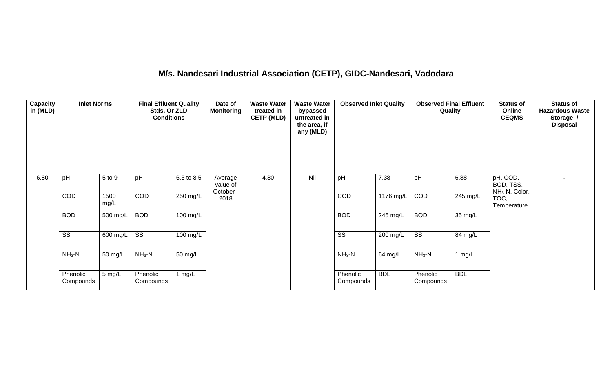# **M/s. Nandesari Industrial Association (CETP), GIDC-Nandesari, Vadodara**

| Capacity<br>in (MLD) | <b>Inlet Norms</b>     |              | <b>Final Effluent Quality</b><br>Stds. Or ZLD<br><b>Conditions</b> |                    | Date of<br><b>Monitoring</b>     | <b>Waste Water</b><br>treated in<br><b>CETP (MLD)</b> | <b>Waste Water</b><br>bypassed<br>untreated in<br>the area, if<br>any (MLD) | <b>Observed Inlet Quality</b> |                    | <b>Observed Final Effluent</b><br>Quality |            | <b>Status of</b><br>Online<br><b>CEQMS</b>          | <b>Status of</b><br><b>Hazardous Waste</b><br>Storage /<br><b>Disposal</b> |
|----------------------|------------------------|--------------|--------------------------------------------------------------------|--------------------|----------------------------------|-------------------------------------------------------|-----------------------------------------------------------------------------|-------------------------------|--------------------|-------------------------------------------|------------|-----------------------------------------------------|----------------------------------------------------------------------------|
| 6.80                 | pH                     | 5 to 9       | pH                                                                 | 6.5 to 8.5         | Average<br>value of<br>October - | 4.80                                                  | Nil                                                                         | pH                            | 7.38               | pH                                        | 6.88       | pH, COD,<br>BOD, TSS,<br>NH <sub>3</sub> -N, Color, |                                                                            |
|                      | COD                    | 1500<br>mg/L | COD                                                                | 250 mg/L           | 2018                             |                                                       |                                                                             | COD                           | 1176 mg/L          | COD                                       | 245 mg/L   | TOC,<br>Temperature                                 |                                                                            |
|                      | <b>BOD</b>             | 500 mg/L     | <b>BOD</b>                                                         | $100 \text{ mg/L}$ |                                  |                                                       |                                                                             | <b>BOD</b>                    | $245 \text{ mg/L}$ | <b>BOD</b>                                | 35 mg/L    |                                                     |                                                                            |
|                      | $\overline{\text{ss}}$ | 600 mg/L     | $\overline{\text{ss}}$                                             | 100 mg/L           |                                  |                                                       |                                                                             | $\overline{\text{SS}}$        | 200 mg/L           | $\overline{\text{ss}}$                    | 84 mg/L    |                                                     |                                                                            |
|                      | $NH3-N$                | 50 mg/L      | $NH3-N$                                                            | 50 mg/L            |                                  |                                                       |                                                                             | $NH3-N$                       | 64 mg/L            | $NH3-N$                                   | 1 $mg/L$   |                                                     |                                                                            |
|                      | Phenolic<br>Compounds  | 5 mg/L       | Phenolic<br>Compounds                                              | 1 $mg/L$           |                                  |                                                       |                                                                             | Phenolic<br>Compounds         | <b>BDL</b>         | Phenolic<br>Compounds                     | <b>BDL</b> |                                                     |                                                                            |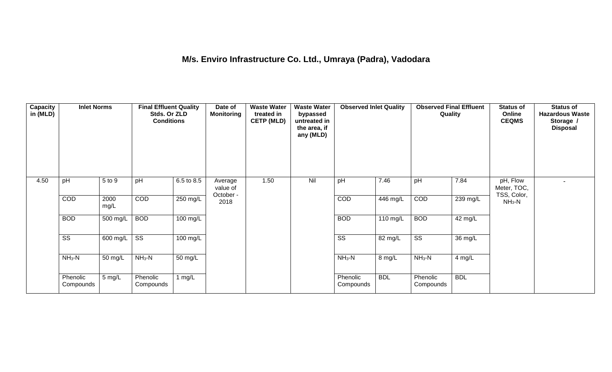## **M/s. Enviro Infrastructure Co. Ltd., Umraya (Padra), Vadodara**

| Capacity<br>in (MLD) | <b>Inlet Norms</b>     |              | <b>Final Effluent Quality</b><br>Stds. Or ZLD<br><b>Conditions</b> |                    | Date of<br><b>Monitoring</b>     | <b>Waste Water</b><br>treated in<br><b>CETP (MLD)</b> | <b>Waste Water</b><br>bypassed<br>untreated in<br>the area, if<br>any (MLD) | <b>Observed Inlet Quality</b> |            | <b>Observed Final Effluent</b><br>Quality |            | <b>Status of</b><br>Online<br><b>CEQMS</b> | <b>Status of</b><br><b>Hazardous Waste</b><br>Storage /<br><b>Disposal</b> |
|----------------------|------------------------|--------------|--------------------------------------------------------------------|--------------------|----------------------------------|-------------------------------------------------------|-----------------------------------------------------------------------------|-------------------------------|------------|-------------------------------------------|------------|--------------------------------------------|----------------------------------------------------------------------------|
| 4.50                 | pH                     | 5 to 9       | pH                                                                 | 6.5 to 8.5         | Average<br>value of<br>October - | 1.50                                                  | Nil                                                                         | pH                            | 7.46       | pH                                        | 7.84       | pH, Flow<br>Meter, TOC,<br>TSS, Color,     |                                                                            |
|                      | COD                    | 2000<br>mg/L | COD                                                                | 250 mg/L           | 2018                             |                                                       |                                                                             | COD                           | 446 mg/L   | COD                                       | 239 mg/L   | $NH3-N$                                    |                                                                            |
|                      | <b>BOD</b>             | 500 mg/L     | <b>BOD</b>                                                         | 100 mg/L           |                                  |                                                       |                                                                             | <b>BOD</b>                    | 110 mg/L   | <b>BOD</b>                                | 42 mg/L    |                                            |                                                                            |
|                      | $\overline{\text{ss}}$ | $600$ mg/L   | $\overline{\text{ss}}$                                             | $100 \text{ mg/L}$ |                                  |                                                       |                                                                             | $\overline{\text{ss}}$        | 82 mg/L    | $\overline{\text{ss}}$                    | 36 mg/L    |                                            |                                                                            |
|                      | $NH3-N$                | 50 mg/L      | $NH3-N$                                                            | 50 mg/L            |                                  |                                                       |                                                                             | $NH3-N$                       | 8 mg/L     | $NH_3-N$                                  | 4 mg/L     |                                            |                                                                            |
|                      | Phenolic<br>Compounds  | 5 mg/L       | Phenolic<br>Compounds                                              | 1 mg/ $L$          |                                  |                                                       |                                                                             | Phenolic<br>Compounds         | <b>BDL</b> | Phenolic<br>Compounds                     | <b>BDL</b> |                                            |                                                                            |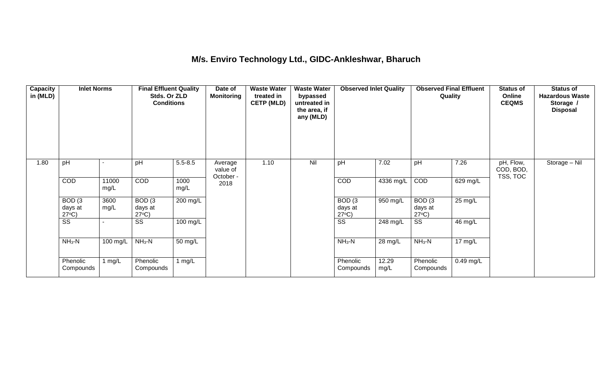#### **M/s. Enviro Technology Ltd., GIDC-Ankleshwar, Bharuch**

| <b>Capacity</b><br>in (MLD) | <b>Inlet Norms</b>                   |               | <b>Final Effluent Quality</b><br>Stds. Or ZLD<br><b>Conditions</b> |              | Date of<br><b>Monitoring</b>     | <b>Waste Water</b><br>treated in<br><b>CETP (MLD)</b> | <b>Waste Water</b><br>bypassed<br>untreated in<br>the area, if<br>any (MLD) | <b>Observed Inlet Quality</b>        |               | <b>Observed Final Effluent</b><br>Quality |                   | <b>Status of</b><br>Online<br><b>CEQMS</b> | <b>Status of</b><br><b>Hazardous Waste</b><br>Storage /<br><b>Disposal</b> |
|-----------------------------|--------------------------------------|---------------|--------------------------------------------------------------------|--------------|----------------------------------|-------------------------------------------------------|-----------------------------------------------------------------------------|--------------------------------------|---------------|-------------------------------------------|-------------------|--------------------------------------------|----------------------------------------------------------------------------|
| 1.80                        | pH                                   |               | pH                                                                 | $5.5 - 8.5$  | Average<br>value of<br>October - | 1.10                                                  | Nil                                                                         | pH                                   | 7.02          | pH                                        | 7.26              | pH, Flow,<br>COD, BOD,<br>TSS, TOC         | Storage - Nil                                                              |
|                             | <b>COD</b>                           | 11000<br>mg/L | <b>COD</b>                                                         | 1000<br>mg/L | 2018                             |                                                       |                                                                             | COD                                  | 4336 mg/L     | COD                                       | 629 mg/L          |                                            |                                                                            |
|                             | BOD(3)<br>days at<br>$27^{\circ}C$ ) | 3600<br>mg/L  | BOD(3)<br>days at<br>$27^{\circ}C$ )                               | $200$ mg/L   |                                  |                                                       |                                                                             | BOD(3)<br>days at<br>$27^{\circ}C$ ) | 950 mg/L      | BOD(3)<br>days at<br>$27^{\circ}C$ )      | $25 \text{ mg/L}$ |                                            |                                                                            |
|                             | $\overline{\text{ss}}$               |               | SS                                                                 | 100 mg/L     |                                  |                                                       |                                                                             | $\overline{\text{ss}}$               | 248 mg/L      | $\overline{\text{ss}}$                    | 46 mg/L           |                                            |                                                                            |
|                             | $NH3-N$                              | 100 mg/L      | $NH3-N$                                                            | 50 mg/L      |                                  |                                                       |                                                                             | $NH_3-N$                             | 28 mg/L       | $NH3-N$                                   | $17 \text{ mg/L}$ |                                            |                                                                            |
|                             | Phenolic<br>Compounds                | 1 mg/L        | Phenolic<br>Compounds                                              | 1 mg/L       |                                  |                                                       |                                                                             | Phenolic<br>Compounds                | 12.29<br>mg/L | Phenolic<br>Compounds                     | $0.49$ mg/L       |                                            |                                                                            |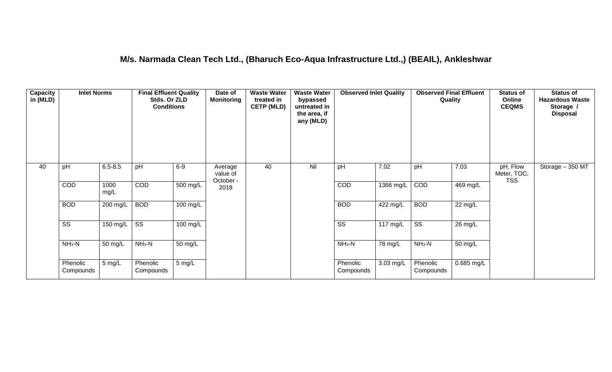#### **M/s. Narmada Clean Tech Ltd., (Bharuch Eco-Aqua Infrastructure Ltd.,) (BEAIL), Ankleshwar**

| <b>Capacity</b><br>in (MLD) | <b>Inlet Norms</b>     |                  | <b>Final Effluent Quality</b><br>Stds. Or ZLD<br><b>Conditions</b> |                    | Date of<br><b>Monitoring</b>     | <b>Waste Water</b><br>treated in<br><b>CETP (MLD)</b> | <b>Waste Water</b><br>bypassed<br>untreated in<br>the area, if<br>any (MLD) | <b>Observed Inlet Quality</b> |                    | <b>Observed Final Effluent</b><br>Quality |            | <b>Status of</b><br>Online<br><b>CEQMS</b> | <b>Status of</b><br><b>Hazardous Waste</b><br>Storage /<br><b>Disposal</b> |
|-----------------------------|------------------------|------------------|--------------------------------------------------------------------|--------------------|----------------------------------|-------------------------------------------------------|-----------------------------------------------------------------------------|-------------------------------|--------------------|-------------------------------------------|------------|--------------------------------------------|----------------------------------------------------------------------------|
| 40                          | pH                     | $6.5 - 8.5$      | pH                                                                 | $6-9$              | Average<br>value of<br>October - | 40                                                    | Nil                                                                         | pH                            | 7.02               | pH                                        | 7.03       | pH, Flow<br>Meter, TOC,<br><b>TSS</b>      | Storage - 350 MT                                                           |
|                             | COD                    | 1000<br>mg/L     | COD                                                                | $500$ mg/L         | 2018                             |                                                       |                                                                             | COD                           | 1366 mg/L          | COD                                       | 469 mg/L   |                                            |                                                                            |
|                             | <b>BOD</b>             | 200 mg/L         | <b>BOD</b>                                                         | 100 mg/L           |                                  |                                                       |                                                                             | <b>BOD</b>                    | 422 mg/L           | <b>BOD</b>                                | 22 mg/L    |                                            |                                                                            |
|                             | $\overline{\text{ss}}$ | 150 mg/L $\vert$ | $\overline{\text{ss}}$                                             | $100 \text{ mg/L}$ |                                  |                                                       |                                                                             | $\overline{\text{ss}}$        | $117 \text{ mg/L}$ | $\overline{\text{ss}}$                    | 26 mg/L    |                                            |                                                                            |
|                             | $NH3-N$                | 50 mg/L          | $NH3-N$                                                            | 50 mg/L            |                                  |                                                       |                                                                             | $NH3-N$                       | 78 mg/L            | $NH3-N$                                   | 50 mg/L    |                                            |                                                                            |
|                             | Phenolic<br>Compounds  | 5 mg/L           | Phenolic<br>Compounds                                              | $5 \text{ mg/L}$   |                                  |                                                       |                                                                             | Phenolic<br>Compounds         | 3.03 mg/L          | Phenolic<br>Compounds                     | 0.685 mg/L |                                            |                                                                            |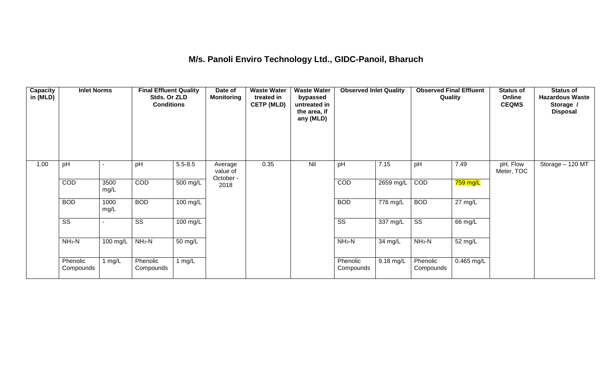## **M/s. Panoli Enviro Technology Ltd., GIDC-Panoil, Bharuch**

| Capacity<br>in (MLD) | <b>Inlet Norms</b>     |              | <b>Final Effluent Quality</b><br>Stds. Or ZLD<br><b>Conditions</b> |                    | Date of<br><b>Monitoring</b>     | <b>Waste Water</b><br>treated in<br><b>CETP (MLD)</b> | <b>Waste Water</b><br>bypassed<br>untreated in<br>the area, if<br>any (MLD) | <b>Observed Inlet Quality</b> |                       | <b>Observed Final Effluent</b><br>Quality |            | <b>Status of</b><br>Online<br><b>CEQMS</b> | <b>Status of</b><br><b>Hazardous Waste</b><br>Storage /<br><b>Disposal</b> |
|----------------------|------------------------|--------------|--------------------------------------------------------------------|--------------------|----------------------------------|-------------------------------------------------------|-----------------------------------------------------------------------------|-------------------------------|-----------------------|-------------------------------------------|------------|--------------------------------------------|----------------------------------------------------------------------------|
| 1.00                 | pH                     |              | pH                                                                 | $5.5 - 8.5$        | Average<br>value of<br>October - | 0.35                                                  | Nil                                                                         | pH                            | 7.15                  | pH                                        | 7.49       | pH, Flow<br>Meter, TOC                     | Storage - 120 MT                                                           |
|                      | COD                    | 3500<br>mg/L | <b>COD</b>                                                         | 500 mg/L           | 2018                             |                                                       |                                                                             | <b>COD</b>                    | 2659 mg/L             | COD                                       | 759 mg/L   |                                            |                                                                            |
|                      | <b>BOD</b>             | 1000<br>mg/L | <b>BOD</b>                                                         | $100 \text{ mg/L}$ |                                  |                                                       |                                                                             | <b>BOD</b>                    | $\overline{776}$ mg/L | <b>BOD</b>                                | 27 mg/L    |                                            |                                                                            |
|                      | $\overline{\text{SS}}$ |              | SS                                                                 | 100 mg/L           |                                  |                                                       |                                                                             | $\overline{\text{ss}}$        | 337 mg/L              | $\overline{\text{SS}}$                    | 66 mg/L    |                                            |                                                                            |
|                      | $NH3-N$                | 100 mg/L     | $NH3-N$                                                            | 50 mg/L            |                                  |                                                       |                                                                             | $NH3-N$                       | 34 mg/L               | $NH3-N$                                   | 52 mg/L    |                                            |                                                                            |
|                      | Phenolic<br>Compounds  | 1 $mg/L$     | Phenolic<br>Compounds                                              | 1 $mg/L$           |                                  |                                                       |                                                                             | Phenolic<br>Compounds         | 9.18 mg/L             | Phenolic<br>Compounds                     | 0.465 mg/L |                                            |                                                                            |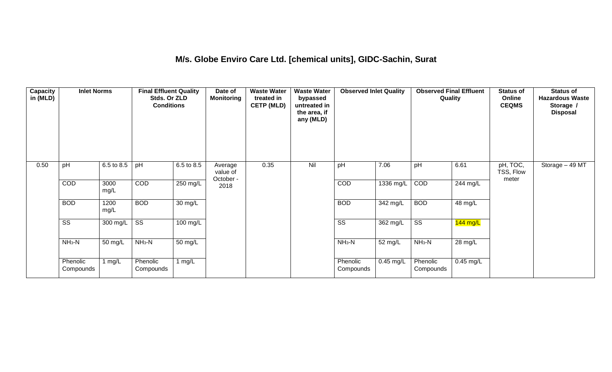#### **M/s. Globe Enviro Care Ltd. [chemical units], GIDC-Sachin, Surat**

| Capacity<br>in (MLD) | <b>Inlet Norms</b>     |              | <b>Final Effluent Quality</b><br>Stds. Or ZLD<br><b>Conditions</b> |                      | Date of<br><b>Monitoring</b>     | <b>Waste Water</b><br>treated in<br><b>CETP (MLD)</b> | <b>Waste Water</b><br>bypassed<br>untreated in<br>the area, if<br>any (MLD) | <b>Observed Inlet Quality</b> |             | <b>Observed Final Effluent</b><br>Quality |             | <b>Status of</b><br>Online<br><b>CEQMS</b> | <b>Status of</b><br><b>Hazardous Waste</b><br>Storage /<br><b>Disposal</b> |
|----------------------|------------------------|--------------|--------------------------------------------------------------------|----------------------|----------------------------------|-------------------------------------------------------|-----------------------------------------------------------------------------|-------------------------------|-------------|-------------------------------------------|-------------|--------------------------------------------|----------------------------------------------------------------------------|
| 0.50                 | pH                     | 6.5 to 8.5   | pH                                                                 | 6.5 to 8.5           | Average<br>value of<br>October - | 0.35                                                  | Nil                                                                         | pH                            | 7.06        | pH                                        | 6.61        | pH, TOC,<br>TSS, Flow<br>meter             | Storage - 49 MT                                                            |
|                      | COD                    | 3000<br>mg/L | COD                                                                | $250$ mg/L           | 2018                             |                                                       |                                                                             | COD                           | 1336 mg/L   | COD                                       | 244 mg/L    |                                            |                                                                            |
|                      | <b>BOD</b>             | 1200<br>mg/L | <b>BOD</b>                                                         | $\overline{30}$ mg/L |                                  |                                                       |                                                                             | <b>BOD</b>                    | 342 mg/L    | <b>BOD</b>                                | 48 mg/L     |                                            |                                                                            |
|                      | $\overline{\text{ss}}$ | 300 mg/L     | $\overline{\text{ss}}$                                             | $100 \text{ mg/L}$   |                                  |                                                       |                                                                             | $\overline{\text{ss}}$        | 362 mg/L    | $\overline{\text{ss}}$                    | $144$ mg/L  |                                            |                                                                            |
|                      | $NH3-N$                | 50 mg/L      | $NH3-N$                                                            | 50 mg/L              |                                  |                                                       |                                                                             | $NH3-N$                       | 52 mg/L     | $NH3-N$                                   | 28 mg/L     |                                            |                                                                            |
|                      | Phenolic<br>Compounds  | 1 mg/L       | Phenolic<br>Compounds                                              | 1 $mg/L$             |                                  |                                                       |                                                                             | Phenolic<br>Compounds         | $0.45$ mg/L | Phenolic<br>Compounds                     | $0.45$ mg/L |                                            |                                                                            |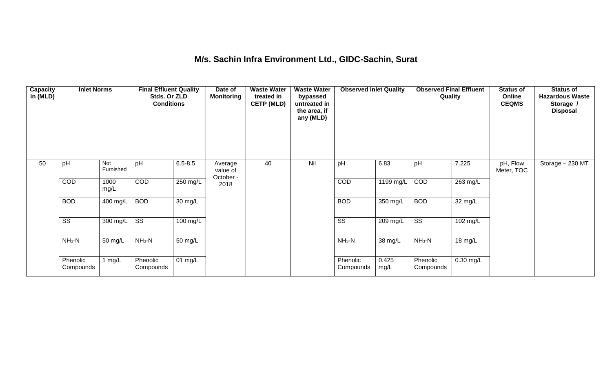#### **M/s. Sachin Infra Environment Ltd., GIDC-Sachin, Surat**

| <b>Capacity</b><br>in (MLD) | <b>Inlet Norms</b>     |                  | <b>Final Effluent Quality</b><br>Stds. Or ZLD<br><b>Conditions</b> |                      | Date of<br><b>Monitoring</b>     | <b>Waste Water</b><br>treated in<br><b>CETP (MLD)</b> | <b>Waste Water</b><br>bypassed<br>untreated in<br>the area, if<br>any (MLD) | <b>Observed Inlet Quality</b> |               | <b>Observed Final Effluent</b><br>Quality |             | <b>Status of</b><br>Online<br><b>CEQMS</b> | <b>Status of</b><br><b>Hazardous Waste</b><br>Storage /<br><b>Disposal</b> |
|-----------------------------|------------------------|------------------|--------------------------------------------------------------------|----------------------|----------------------------------|-------------------------------------------------------|-----------------------------------------------------------------------------|-------------------------------|---------------|-------------------------------------------|-------------|--------------------------------------------|----------------------------------------------------------------------------|
| 50                          | pH                     | Not<br>Furnished | pH                                                                 | $6.5 - 8.5$          | Average<br>value of<br>October - | 40                                                    | Nil                                                                         | pH                            | 6.83          | pH                                        | 7.225       | pH, Flow<br>Meter, TOC                     | Storage - 230 MT                                                           |
|                             | COD                    | 1000<br>mg/L     | <b>COD</b>                                                         | 250 mg/L             | 2018                             |                                                       |                                                                             | COD                           | 1199 mg/L     | COD                                       | 263 mg/L    |                                            |                                                                            |
|                             | <b>BOD</b>             | 400 mg/L         | <b>BOD</b>                                                         | $\overline{30}$ mg/L |                                  |                                                       |                                                                             | <b>BOD</b>                    | 350 mg/L      | <b>BOD</b>                                | 32 mg/L     |                                            |                                                                            |
|                             | $\overline{\text{SS}}$ | 300 mg/L         | $\overline{\text{ss}}$                                             | 100 mg/L             |                                  |                                                       |                                                                             | $\overline{\text{ss}}$        | 209 mg/L      | $\overline{\text{ss}}$                    | 102 mg/L    |                                            |                                                                            |
|                             | $NH3-N$                | 50 mg/L          | $NH_3-N$                                                           | $\overline{50}$ mg/L |                                  |                                                       |                                                                             | $NH_3-N$                      | 38 mg/L       | $NH3-N$                                   | 18 mg/L     |                                            |                                                                            |
|                             | Phenolic<br>Compounds  | l mg/L           | Phenolic<br>Compounds                                              | 01 mg/L              |                                  |                                                       |                                                                             | Phenolic<br>Compounds         | 0.425<br>mg/L | Phenolic<br>Compounds                     | $0.30$ mg/L |                                            |                                                                            |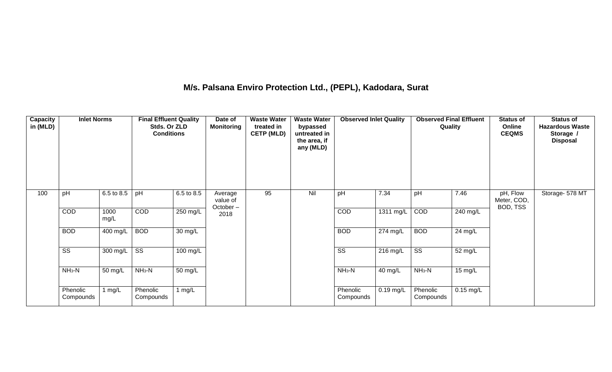## **M/s. Palsana Enviro Protection Ltd., (PEPL), Kadodara, Surat**

| Capacity<br>in (MLD) | <b>Inlet Norms</b>     |              | <b>Final Effluent Quality</b><br>Stds. Or ZLD<br><b>Conditions</b> |                   | Date of<br><b>Monitoring</b>    | <b>Waste Water</b><br>treated in<br><b>CETP (MLD)</b> | <b>Waste Water</b><br>bypassed<br>untreated in<br>the area, if<br>any (MLD) | <b>Observed Inlet Quality</b> |             | <b>Observed Final Effluent</b><br>Quality |             | <b>Status of</b><br>Online<br><b>CEQMS</b> | <b>Status of</b><br><b>Hazardous Waste</b><br>Storage /<br><b>Disposal</b> |
|----------------------|------------------------|--------------|--------------------------------------------------------------------|-------------------|---------------------------------|-------------------------------------------------------|-----------------------------------------------------------------------------|-------------------------------|-------------|-------------------------------------------|-------------|--------------------------------------------|----------------------------------------------------------------------------|
| 100                  | pH                     | 6.5 to 8.5   | pH                                                                 | 6.5 to 8.5        | Average<br>value of<br>October- | 95                                                    | Nil                                                                         | pH                            | 7.34        | pH                                        | 7.46        | pH, Flow<br>Meter, COD,<br>BOD, TSS        | Storage- 578 MT                                                            |
|                      | COD                    | 1000<br>mg/L | COD                                                                | $250$ mg/L        | 2018                            |                                                       |                                                                             | COD                           | 1311 mg/L   | COD                                       | 240 mg/L    |                                            |                                                                            |
|                      | <b>BOD</b>             | 400 mg/L     | <b>BOD</b>                                                         | $30 \text{ mg/L}$ |                                 |                                                       |                                                                             | <b>BOD</b>                    | $274$ mg/L  | <b>BOD</b>                                | 24 mg/L     |                                            |                                                                            |
|                      | $\overline{\text{SS}}$ | 300 mg/L     | $\overline{\text{ss}}$                                             | 100 mg/L          |                                 |                                                       |                                                                             | $\overline{\text{ss}}$        | 216 mg/L    | $\overline{\text{ss}}$                    | 52 mg/L     |                                            |                                                                            |
|                      | $NH3-N$                | 50 mg/L      | $NH3-N$                                                            | 50 mg/L           |                                 |                                                       |                                                                             | $NH3-N$                       | 40 mg/L     | $NH_3-N$                                  | 15 mg/L     |                                            |                                                                            |
|                      | Phenolic<br>Compounds  | 1 $mg/L$     | Phenolic<br>Compounds                                              | 1 $mg/L$          |                                 |                                                       |                                                                             | Phenolic<br>Compounds         | $0.19$ mg/L | Phenolic<br>Compounds                     | $0.15$ mg/L |                                            |                                                                            |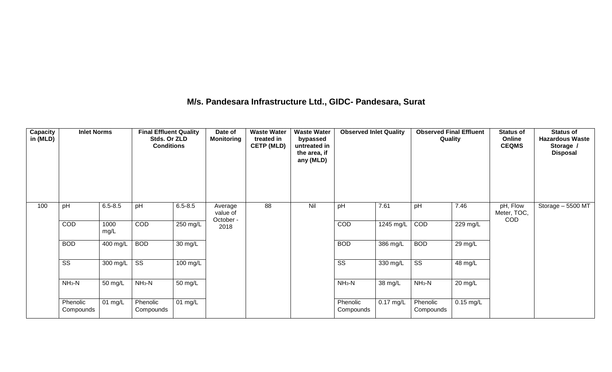#### **M/s. Pandesara Infrastructure Ltd., GIDC- Pandesara, Surat**

| Capacity<br>in (MLD) | <b>Inlet Norms</b>     |              | <b>Final Effluent Quality</b><br>Stds. Or ZLD<br><b>Conditions</b> |                    | Date of<br><b>Monitoring</b>     | <b>Waste Water</b><br>treated in<br><b>CETP (MLD)</b> | <b>Waste Water</b><br>bypassed<br>untreated in<br>the area, if<br>any (MLD) | <b>Observed Inlet Quality</b> |             | <b>Observed Final Effluent</b><br>Quality |                    | <b>Status of</b><br>Online<br><b>CEQMS</b> | <b>Status of</b><br><b>Hazardous Waste</b><br>Storage /<br><b>Disposal</b> |
|----------------------|------------------------|--------------|--------------------------------------------------------------------|--------------------|----------------------------------|-------------------------------------------------------|-----------------------------------------------------------------------------|-------------------------------|-------------|-------------------------------------------|--------------------|--------------------------------------------|----------------------------------------------------------------------------|
| 100                  | pH                     | $6.5 - 8.5$  | pH                                                                 | $6.5 - 8.5$        | Average<br>value of<br>October - | 88                                                    | Nil                                                                         | pH                            | 7.61        | pH                                        | 7.46               | pH, Flow<br>Meter, TOC,<br>COD             | Storage - 5500 MT                                                          |
|                      | COD                    | 1000<br>mg/L | COD                                                                | $250 \text{ mg/L}$ | 2018                             |                                                       |                                                                             | <b>COD</b>                    | 1245 mg/L   | COD                                       | $229 \text{ mg/L}$ |                                            |                                                                            |
|                      | <b>BOD</b>             | 400 mg/L     | <b>BOD</b>                                                         | 30 mg/L            |                                  |                                                       |                                                                             | <b>BOD</b>                    | 386 mg/L    | <b>BOD</b>                                | 29 mg/L            |                                            |                                                                            |
|                      | $\overline{\text{ss}}$ | 300 mg/L     | $\overline{\text{SS}}$                                             | 100 mg/L           |                                  |                                                       |                                                                             | $\overline{\text{ss}}$        | 330 mg/L    | $\overline{\text{ss}}$                    | 48 mg/L            |                                            |                                                                            |
|                      | $NH3-N$                | 50 mg/L      | $NH_3-N$                                                           | 50 mg/L            |                                  |                                                       |                                                                             | $NH3-N$                       | 38 mg/L     | $NH3-N$                                   | 20 mg/L            |                                            |                                                                            |
|                      | Phenolic<br>Compounds  | 01 mg/L      | Phenolic<br>Compounds                                              | 01 $mg/L$          |                                  |                                                       |                                                                             | Phenolic<br>Compounds         | $0.17$ mg/L | Phenolic<br>Compounds                     | $0.15$ mg/L        |                                            |                                                                            |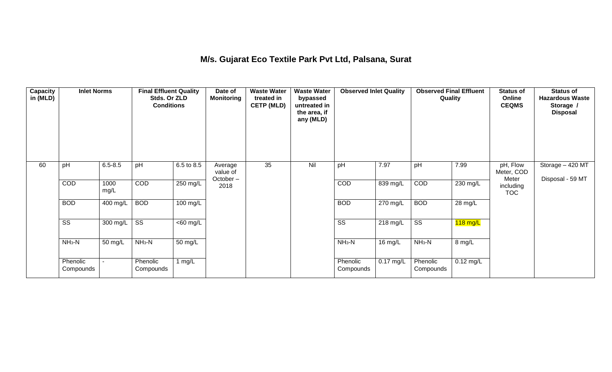## **M/s. Gujarat Eco Textile Park Pvt Ltd, Palsana, Surat**

| Capacity<br>in (MLD) | <b>Inlet Norms</b>     |              | <b>Final Effluent Quality</b><br>Stds. Or ZLD<br><b>Conditions</b> |                       | Date of<br><b>Monitoring</b>    | <b>Waste Water</b><br>treated in<br><b>CETP (MLD)</b> | <b>Waste Water</b><br>bypassed<br>untreated in<br>the area, if<br>any (MLD) | <b>Observed Inlet Quality</b> |             | <b>Observed Final Effluent</b><br>Quality |             | <b>Status of</b><br>Online<br><b>CEQMS</b> | <b>Status of</b><br><b>Hazardous Waste</b><br>Storage /<br><b>Disposal</b> |
|----------------------|------------------------|--------------|--------------------------------------------------------------------|-----------------------|---------------------------------|-------------------------------------------------------|-----------------------------------------------------------------------------|-------------------------------|-------------|-------------------------------------------|-------------|--------------------------------------------|----------------------------------------------------------------------------|
| 60                   | pH                     | $6.5 - 8.5$  | pH                                                                 | 6.5 to 8.5            | Average<br>value of<br>October- | 35                                                    | Nil                                                                         | pH                            | 7.97        | pH                                        | 7.99        | pH, Flow<br>Meter, COD<br>Meter            | Storage - 420 MT<br>Disposal - 59 MT                                       |
|                      | COD                    | 1000<br>mg/L | COD                                                                | 250 mg/L              | 2018                            |                                                       |                                                                             | COD                           | 839 mg/L    | COD                                       | 230 mg/L    | including<br><b>TOC</b>                    |                                                                            |
|                      | <b>BOD</b>             | 400 mg/L     | <b>BOD</b>                                                         | 100 mg/L              |                                 |                                                       |                                                                             | <b>BOD</b>                    | 270 mg/L    | <b>BOD</b>                                | 28 mg/L     |                                            |                                                                            |
|                      | $\overline{\text{ss}}$ | 300 mg/L     | $\overline{\text{ss}}$                                             | $\overline{<}60$ mg/L |                                 |                                                       |                                                                             | $\overline{\text{ss}}$        | 218 mg/L    | $\overline{\text{ss}}$                    | $118$ mg/L  |                                            |                                                                            |
|                      | $NH3-N$                | 50 mg/L      | $NH3-N$                                                            | 50 mg/L               |                                 |                                                       |                                                                             | $NH3-N$                       | $16$ mg/L   | $NH3-N$                                   | 8 mg/L      |                                            |                                                                            |
|                      | Phenolic<br>Compounds  |              | Phenolic<br>Compounds                                              | 1 $mg/L$              |                                 |                                                       |                                                                             | Phenolic<br>Compounds         | $0.17$ mg/L | Phenolic<br>Compounds                     | $0.12$ mg/L |                                            |                                                                            |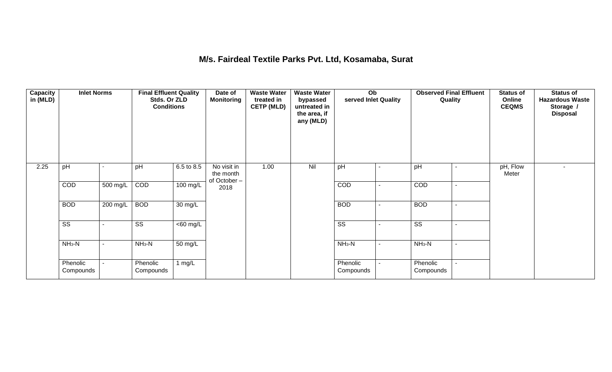#### **M/s. Fairdeal Textile Parks Pvt. Ltd, Kosamaba, Surat**

| <b>Capacity</b><br>in (MLD) | <b>Inlet Norms</b>     |          | <b>Final Effluent Quality</b><br>Stds. Or ZLD<br><b>Conditions</b> |                      | Date of<br><b>Monitoring</b>            | <b>Waste Water</b><br>treated in<br><b>CETP (MLD)</b> | <b>Waste Water</b><br>bypassed<br>untreated in<br>the area, if<br>any (MLD) | Ob<br>served Inlet Quality |                | <b>Observed Final Effluent</b><br>Quality | <b>Status of</b><br>Online<br><b>CEQMS</b> | <b>Status of</b><br><b>Hazardous Waste</b><br>Storage /<br><b>Disposal</b> |
|-----------------------------|------------------------|----------|--------------------------------------------------------------------|----------------------|-----------------------------------------|-------------------------------------------------------|-----------------------------------------------------------------------------|----------------------------|----------------|-------------------------------------------|--------------------------------------------|----------------------------------------------------------------------------|
| 2.25                        | pH                     |          | pH                                                                 | 6.5 to 8.5           | No visit in<br>the month<br>of October- | 1.00                                                  | Nil                                                                         | pH                         |                | pH                                        | pH, Flow<br>Meter                          |                                                                            |
|                             | COD                    | 500 mg/L | COD                                                                | 100 mg/L             | 2018                                    |                                                       |                                                                             | COD                        |                | COD                                       |                                            |                                                                            |
|                             | <b>BOD</b>             | 200 mg/L | <b>BOD</b>                                                         | $\overline{30}$ mg/L |                                         |                                                       |                                                                             | <b>BOD</b>                 |                | <b>BOD</b>                                |                                            |                                                                            |
|                             | $\overline{\text{ss}}$ |          | $\overline{\text{ss}}$                                             | $\overline{60}$ mg/L |                                         |                                                       |                                                                             | $\overline{\text{ss}}$     |                | $\overline{\text{ss}}$                    |                                            |                                                                            |
|                             | $NH3-N$                | ۰        | $NH3-N$                                                            | $\overline{50}$ mg/L |                                         |                                                       |                                                                             | $NH_3-N$                   | $\blacksquare$ | $NH3-N$                                   |                                            |                                                                            |
|                             | Phenolic<br>Compounds  |          | Phenolic<br>Compounds                                              | 1 $mg/L$             |                                         |                                                       |                                                                             | Phenolic<br>Compounds      |                | Phenolic<br>Compounds                     |                                            |                                                                            |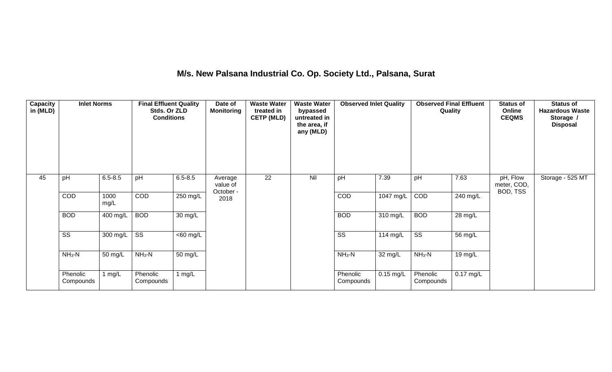# **M/s. New Palsana Industrial Co. Op. Society Ltd., Palsana, Surat**

| <b>Capacity</b><br>in (MLD) | <b>Inlet Norms</b>     |                    | <b>Final Effluent Quality</b><br>Stds. Or ZLD<br><b>Conditions</b> |                      | Date of<br><b>Monitoring</b>     | <b>Waste Water</b><br>treated in<br><b>CETP (MLD)</b> | <b>Waste Water</b><br>bypassed<br>untreated in<br>the area, if<br>any (MLD) | <b>Observed Inlet Quality</b> |             | <b>Observed Final Effluent</b><br>Quality |             | <b>Status of</b><br>Online<br><b>CEQMS</b> | <b>Status of</b><br><b>Hazardous Waste</b><br>Storage /<br><b>Disposal</b> |
|-----------------------------|------------------------|--------------------|--------------------------------------------------------------------|----------------------|----------------------------------|-------------------------------------------------------|-----------------------------------------------------------------------------|-------------------------------|-------------|-------------------------------------------|-------------|--------------------------------------------|----------------------------------------------------------------------------|
| 45                          | pH                     | $6.5 - 8.5$        | pH                                                                 | $6.5 - 8.5$          | Average<br>value of<br>October - | 22                                                    | Nil                                                                         | pH                            | 7.39        | pH                                        | 7.63        | pH, Flow<br>meter, COD,<br>BOD, TSS        | Storage - 525 MT                                                           |
|                             | COD                    | 1000<br>mg/L       | COD                                                                | 250 mg/L             | 2018                             |                                                       |                                                                             | COD                           | 1047 mg/L   | COD                                       | 240 mg/L    |                                            |                                                                            |
|                             | <b>BOD</b>             | 400 mg/L           | <b>BOD</b>                                                         | $\overline{30}$ mg/L |                                  |                                                       |                                                                             | <b>BOD</b>                    | 310 mg/L    | <b>BOD</b>                                | 28 mg/L     |                                            |                                                                            |
|                             | $\overline{\text{ss}}$ | 300 mg/L           | $\overline{\text{ss}}$                                             | $<$ 60 mg/L          |                                  |                                                       |                                                                             | $\overline{\text{ss}}$        | 114 mg/L    | $\overline{\text{ss}}$                    | 56 mg/L     |                                            |                                                                            |
|                             | $NH3-N$                | $NH3-N$<br>50 mg/L | 50 mg/L                                                            |                      |                                  |                                                       | $NH_3-N$                                                                    | 32 mg/L                       | $NH3-N$     | 19 mg/L                                   |             |                                            |                                                                            |
|                             | Phenolic<br>Compounds  | 1 mg/L             | Phenolic<br>Compounds                                              | 1 $mg/L$             |                                  |                                                       |                                                                             | Phenolic<br>Compounds         | $0.15$ mg/L | Phenolic<br>Compounds                     | $0.17$ mg/L |                                            |                                                                            |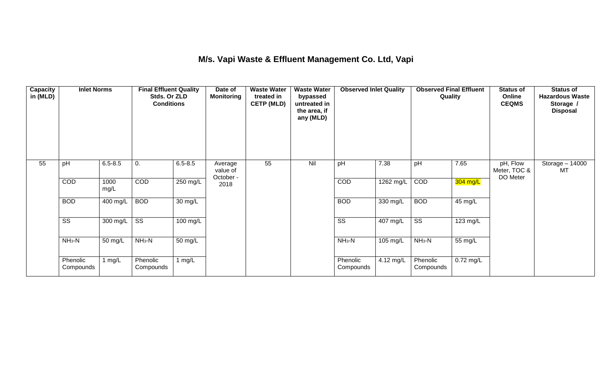## **M/s. Vapi Waste & Effluent Management Co. Ltd, Vapi**

| Capacity<br>in (MLD) | <b>Inlet Norms</b>     |              | <b>Final Effluent Quality</b><br>Stds. Or ZLD<br><b>Conditions</b> |                      | Date of<br><b>Monitoring</b>     | <b>Waste Water</b><br>treated in<br><b>CETP (MLD)</b> | <b>Waste Water</b><br>bypassed<br>untreated in<br>the area, if<br>any (MLD) | <b>Observed Inlet Quality</b> |            | <b>Observed Final Effluent</b><br>Quality |           | <b>Status of</b><br>Online<br><b>CEQMS</b> | <b>Status of</b><br><b>Hazardous Waste</b><br>Storage /<br><b>Disposal</b> |
|----------------------|------------------------|--------------|--------------------------------------------------------------------|----------------------|----------------------------------|-------------------------------------------------------|-----------------------------------------------------------------------------|-------------------------------|------------|-------------------------------------------|-----------|--------------------------------------------|----------------------------------------------------------------------------|
| 55                   | pH                     | $6.5 - 8.5$  | 0.                                                                 | $6.5 - 8.5$          | Average<br>value of<br>October - | 55                                                    | Nil                                                                         | pH                            | 7.38       | pH                                        | 7.65      | pH, Flow<br>Meter, TOC &<br>DO Meter       | Storage - 14000<br>MT                                                      |
|                      | COD                    | 1000<br>mg/L | <b>COD</b>                                                         | 250 mg/L             | 2018                             |                                                       |                                                                             | COD                           | 1262 mg/L  | COD                                       | 304 mg/L  |                                            |                                                                            |
|                      | <b>BOD</b>             | 400 mg/L     | <b>BOD</b>                                                         | $\overline{30}$ mg/L |                                  |                                                       |                                                                             | <b>BOD</b>                    | $330$ mg/L | <b>BOD</b>                                | 45 mg/L   |                                            |                                                                            |
|                      | $\overline{\text{ss}}$ | 300 mg/L     | $\overline{\text{SS}}$                                             | 100 mg/L             |                                  |                                                       |                                                                             | $\overline{\text{SS}}$        | 407 mg/L   | $\overline{\text{ss}}$                    | 123 mg/L  |                                            |                                                                            |
|                      | $NH3-N$                | 50 mg/L      | $NH3-N$                                                            | 50 mg/L              |                                  |                                                       |                                                                             | $NH3-N$                       | 105 mg/L   | $NH3-N$                                   | 55 mg/L   |                                            |                                                                            |
|                      | Phenolic<br>Compounds  | 1 $mg/L$     | Phenolic<br>Compounds                                              | 1 $mg/L$             |                                  |                                                       |                                                                             | Phenolic<br>Compounds         | 4.12 mg/L  | Phenolic<br>Compounds                     | 0.72 mg/L |                                            |                                                                            |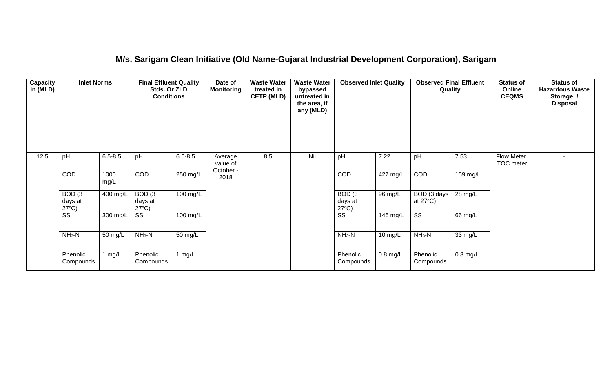#### **M/s. Sarigam Clean Initiative (Old Name-Gujarat Industrial Development Corporation), Sarigam**

| Capacity<br>in (MLD) | <b>Inlet Norms</b>                              |              | <b>Final Effluent Quality</b><br>Stds. Or ZLD<br><b>Conditions</b> |                      | Date of<br><b>Monitoring</b>     | <b>Waste Water</b><br>treated in<br><b>CETP (MLD)</b> | <b>Waste Water</b><br>bypassed<br>untreated in<br>the area, if<br>any (MLD) | <b>Observed Inlet Quality</b>                   |                       | <b>Observed Final Effluent</b><br>Quality |            | <b>Status of</b><br>Online<br><b>CEQMS</b> | <b>Status of</b><br><b>Hazardous Waste</b><br>Storage /<br><b>Disposal</b> |
|----------------------|-------------------------------------------------|--------------|--------------------------------------------------------------------|----------------------|----------------------------------|-------------------------------------------------------|-----------------------------------------------------------------------------|-------------------------------------------------|-----------------------|-------------------------------------------|------------|--------------------------------------------|----------------------------------------------------------------------------|
| 12.5                 | pH                                              | $6.5 - 8.5$  | pH                                                                 | $6.5 - 8.5$          | Average<br>value of<br>October - | 8.5                                                   | Nil                                                                         | pH                                              | 7.22                  | pH                                        | 7.53       | Flow Meter,<br>TOC meter                   | $\sim$                                                                     |
|                      | COD                                             | 1000<br>mg/L | COD                                                                | $250 \text{ mg/L}$   | 2018                             |                                                       |                                                                             | COD                                             | $427 \text{ mg/L}$    | COD                                       | $159$ mg/L |                                            |                                                                            |
|                      | BOD <sub>(3</sub><br>days at<br>$27^{\circ}C$ ) | 400 mg/L     | BOD <sub>(3</sub><br>days at<br>$27^{\circ}C$ )                    | 100 mg/L             |                                  |                                                       |                                                                             | BOD <sub>(3</sub><br>days at<br>$27^{\circ}C$ ) | 96 mg/L               | BOD (3 days<br>at $27^{\circ}$ C)         | 28 mg/L    |                                            |                                                                            |
|                      | $\overline{\text{ss}}$                          | 300 mg/L     | $\overline{\text{SS}}$                                             | 100 mg/L             |                                  |                                                       |                                                                             | $\overline{\text{ss}}$                          | $\overline{146}$ mg/L | $\overline{\text{ss}}$                    | 66 mg/L    |                                            |                                                                            |
|                      | $NH3-N$                                         | 50 mg/L      | $NH3-N$                                                            | $\overline{50}$ mg/L |                                  |                                                       |                                                                             | $NH3-N$                                         | 10 mg/L               | $NH3-N$                                   | 33 mg/L    |                                            |                                                                            |
|                      | Phenolic<br>Compounds                           | l mg/L       | Phenolic<br>Compounds                                              | 1 mg/ $L$            |                                  |                                                       |                                                                             | Phenolic<br>Compounds                           | $0.8 \text{ mg/L}$    | Phenolic<br>Compounds                     | $0.3$ mg/L |                                            |                                                                            |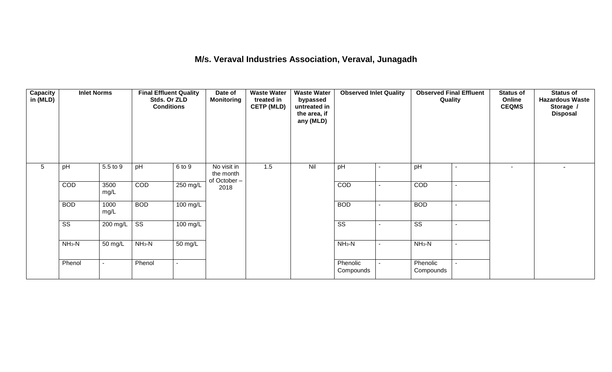#### **M/s. Veraval Industries Association, Veraval, Junagadh**

| Capacity<br>in (MLD) | <b>Inlet Norms</b>     |                          | <b>Final Effluent Quality</b><br>Stds. Or ZLD<br><b>Conditions</b> |                      | Date of<br><b>Waste Water</b><br><b>Monitoring</b><br>treated in<br><b>CETP (MLD)</b> |     | <b>Waste Water</b><br>bypassed<br>untreated in<br>the area, if<br>any (MLD) | <b>Observed Inlet Quality</b><br>pH |                          | Quality                |                          | <b>Status of</b><br>Online<br><b>CEQMS</b> | <b>Status of</b><br><b>Hazardous Waste</b><br>Storage /<br><b>Disposal</b> |
|----------------------|------------------------|--------------------------|--------------------------------------------------------------------|----------------------|---------------------------------------------------------------------------------------|-----|-----------------------------------------------------------------------------|-------------------------------------|--------------------------|------------------------|--------------------------|--------------------------------------------|----------------------------------------------------------------------------|
| 5                    | pH                     | 5.5 to 9                 | pH                                                                 | 6 to 9               | No visit in<br>the month<br>of October-                                               | 1.5 | Nil                                                                         |                                     |                          | pH                     |                          | $\overline{\phantom{a}}$                   |                                                                            |
|                      | COD                    | 3500<br>mg/L             | COD                                                                | $250 \text{ mg/L}$   | 2018                                                                                  |     |                                                                             | COD                                 |                          | COD                    | $\overline{\phantom{a}}$ |                                            |                                                                            |
|                      | <b>BOD</b>             | 1000<br>mg/L             | <b>BOD</b>                                                         | 100 mg/L             |                                                                                       |     |                                                                             | <b>BOD</b>                          | $\blacksquare$           | <b>BOD</b>             | $\overline{a}$           |                                            |                                                                            |
|                      | $\overline{\text{ss}}$ | 200 mg/L                 | $\overline{\text{ss}}$                                             | $100 \text{ mg/L}$   |                                                                                       |     |                                                                             | $\overline{\text{ss}}$              |                          | $\overline{\text{ss}}$ | $\overline{\phantom{a}}$ |                                            |                                                                            |
|                      | $NH3-N$                | 50 mg/L                  | $NH3-N$                                                            | $\overline{50}$ mg/L |                                                                                       |     |                                                                             | $NH_3-N$                            | $\overline{\phantom{a}}$ | $NH3-N$                | $\overline{\phantom{a}}$ |                                            |                                                                            |
|                      | Phenol                 | $\overline{\phantom{a}}$ | Phenol                                                             |                      |                                                                                       |     |                                                                             | Phenolic<br>Compounds               | $\blacksquare$           | Phenolic<br>Compounds  |                          |                                            |                                                                            |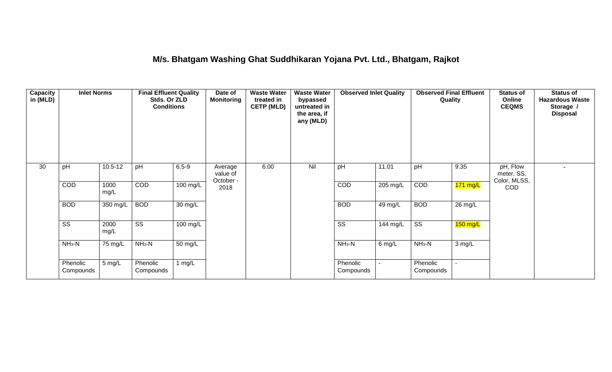#### **M/s. Bhatgam Washing Ghat Suddhikaran Yojana Pvt. Ltd., Bhatgam, Rajkot**

| <b>Capacity</b><br>in (MLD) | <b>Inlet Norms</b>     | <b>Final Effluent Quality</b><br>Stds. Or ZLD<br><b>Conditions</b> |                        |            | Date of<br><b>Monitoring</b>     | <b>Waste Water</b><br>treated in<br><b>CETP (MLD)</b> | <b>Waste Water</b><br>bypassed<br>untreated in<br>the area, if<br>any (MLD) | <b>Observed Inlet Quality</b> |          | <b>Observed Final Effluent</b><br>Quality |            | <b>Status of</b><br>Online<br><b>CEQMS</b> | <b>Status of</b><br><b>Hazardous Waste</b><br>Storage /<br><b>Disposal</b> |
|-----------------------------|------------------------|--------------------------------------------------------------------|------------------------|------------|----------------------------------|-------------------------------------------------------|-----------------------------------------------------------------------------|-------------------------------|----------|-------------------------------------------|------------|--------------------------------------------|----------------------------------------------------------------------------|
| 30                          | pH                     | $10.5 - 12$                                                        | pH                     | $6.5 - 9$  | Average<br>value of<br>October - | 6.00                                                  | Nil                                                                         | pH                            | 11.01    | pH                                        | 9.35       | pH, Flow<br>meter, SS,<br>Color, MLSS,     |                                                                            |
|                             | COD                    | 1000<br>mg/L                                                       | COD                    | $100$ mg/L | 2018                             |                                                       |                                                                             | COD                           | 205 mg/L | COD                                       | $171$ mg/L | <b>COD</b>                                 |                                                                            |
|                             | <b>BOD</b>             | 350 mg/L                                                           | <b>BOD</b>             | 30 mg/L    |                                  |                                                       |                                                                             | <b>BOD</b>                    | 49 mg/L  | <b>BOD</b>                                | 26 mg/L    |                                            |                                                                            |
|                             | $\overline{\text{ss}}$ | 2000<br>mg/L                                                       | $\overline{\text{ss}}$ | $100$ mg/L |                                  |                                                       |                                                                             | $\overline{\text{ss}}$        | 144 mg/L | $\overline{\text{ss}}$                    | $150$ mg/L |                                            |                                                                            |
|                             | $NH3-N$                | 75 mg/L                                                            | $NH3-N$                | 50 mg/L    |                                  |                                                       |                                                                             | $NH3-N$                       | $6$ mg/L | $NH3-N$                                   | 3 mg/L     |                                            |                                                                            |
|                             | Phenolic<br>Compounds  | 5 mg/L                                                             | Phenolic<br>Compounds  | 1 mg/L     |                                  |                                                       |                                                                             | Phenolic<br>Compounds         |          | Phenolic<br>Compounds                     | $\sim$     |                                            |                                                                            |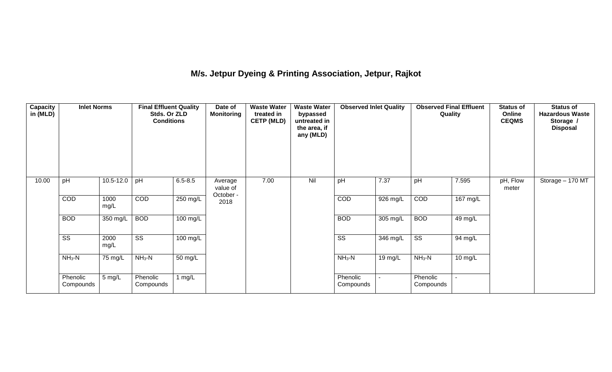# **M/s. Jetpur Dyeing & Printing Association, Jetpur, Rajkot**

| Capacity<br>in (MLD) | <b>Inlet Norms</b>     |               | <b>Final Effluent Quality</b><br>Stds. Or ZLD<br><b>Conditions</b> |                    | Date of<br><b>Monitoring</b> | <b>Waste Water</b><br>treated in<br><b>CETP (MLD)</b> | <b>Waste Water</b><br>bypassed<br>untreated in<br>the area, if<br>any (MLD)<br>Nil | <b>Observed Inlet Quality</b><br>7.37<br>pH |                    | <b>Observed Final Effluent</b><br>Quality |                    | <b>Status of</b><br>Online<br><b>CEQMS</b> | <b>Status of</b><br><b>Hazardous Waste</b><br>Storage /<br><b>Disposal</b> |
|----------------------|------------------------|---------------|--------------------------------------------------------------------|--------------------|------------------------------|-------------------------------------------------------|------------------------------------------------------------------------------------|---------------------------------------------|--------------------|-------------------------------------------|--------------------|--------------------------------------------|----------------------------------------------------------------------------|
| 10.00                | pH                     | $10.5 - 12.0$ | pH                                                                 | $6.5 - 8.5$        | Average<br>value of          | 7.00                                                  |                                                                                    |                                             |                    | pH                                        | 7.595              | pH, Flow<br>meter                          | Storage - 170 MT                                                           |
|                      | COD                    | 1000<br>mg/L  | COD                                                                | $250$ mg/L         | October -<br>2018            |                                                       |                                                                                    | COD                                         | 926 mg/L           | COD                                       | $167 \text{ mg/L}$ |                                            |                                                                            |
|                      | <b>BOD</b>             | 350 mg/L      | <b>BOD</b>                                                         | 100 mg/L           |                              |                                                       |                                                                                    | <b>BOD</b>                                  | 305 mg/L           | <b>BOD</b>                                | 49 mg/L            |                                            |                                                                            |
|                      | $\overline{\text{ss}}$ | 2000<br>mg/L  | $\overline{\text{ss}}$                                             | $100 \text{ mg/L}$ |                              |                                                       |                                                                                    | $\overline{\text{ss}}$                      | $346 \text{ mg/L}$ | $\overline{\text{ss}}$                    | 94 mg/L            |                                            |                                                                            |
|                      | $NH3-N$                | 75 mg/L       | $NH3-N$                                                            | 50 mg/L            |                              |                                                       |                                                                                    | $NH3-N$                                     | 19 mg/ $L$         | $NH_3-N$                                  | 10 mg/L            |                                            |                                                                            |
|                      | Phenolic<br>Compounds  | 5 mg/L        | Phenolic<br>Compounds                                              | 1 $mg/L$           |                              |                                                       |                                                                                    | Phenolic<br>Compounds                       |                    | Phenolic<br>Compounds                     |                    |                                            |                                                                            |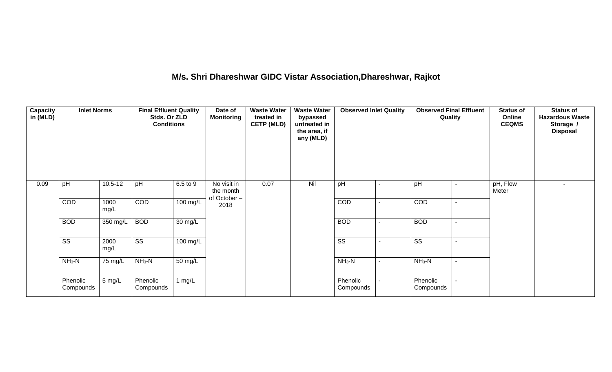# **M/s. Shri Dhareshwar GIDC Vistar Association,Dhareshwar, Rajkot**

| <b>Capacity</b><br>in (MLD) |                        | <b>Inlet Norms</b> |                        | <b>Final Effluent Quality</b><br>Stds. Or ZLD<br><b>Conditions</b> |                                         | Date of<br><b>Monitoring</b> | <b>Waste Water</b><br>treated in<br><b>CETP (MLD)</b> | bypassed<br>untreated in<br>the area, if<br>any (MLD)<br>Nil | <b>Observed Inlet Quality</b> |                        | <b>Observed Final Effluent</b><br>Quality |                   | <b>Status of</b><br>Online<br><b>CEQMS</b> | <b>Status of</b><br><b>Hazardous Waste</b><br>Storage /<br><b>Disposal</b> |
|-----------------------------|------------------------|--------------------|------------------------|--------------------------------------------------------------------|-----------------------------------------|------------------------------|-------------------------------------------------------|--------------------------------------------------------------|-------------------------------|------------------------|-------------------------------------------|-------------------|--------------------------------------------|----------------------------------------------------------------------------|
| 0.09                        | pH                     | $10.5 - 12$        | pH                     | 6.5 to 9                                                           | No visit in<br>the month<br>of October- | 0.07                         |                                                       | pH                                                           |                               | pH                     |                                           | pH, Flow<br>Meter | $\sim$                                     |                                                                            |
|                             | COD                    | 1000<br>mg/L       | COD                    | $100$ mg/L                                                         | 2018                                    |                              |                                                       | COD                                                          |                               | COD                    |                                           |                   |                                            |                                                                            |
|                             | <b>BOD</b>             | 350 mg/L           | <b>BOD</b>             | $\overline{30}$ mg/L                                               |                                         |                              |                                                       | <b>BOD</b>                                                   |                               | <b>BOD</b>             |                                           |                   |                                            |                                                                            |
|                             | $\overline{\text{ss}}$ | 2000<br>mg/L       | $\overline{\text{ss}}$ | $100 \text{ mg/L}$                                                 |                                         |                              |                                                       | $\overline{\text{ss}}$                                       |                               | $\overline{\text{ss}}$ |                                           |                   |                                            |                                                                            |
|                             | $NH3-N$                | 75 mg/L            | $NH3-N$                | $50 \text{ mg/L}$                                                  |                                         |                              |                                                       | $NH_3-N$                                                     |                               | $NH3-N$                |                                           |                   |                                            |                                                                            |
|                             | Phenolic<br>Compounds  | 5 mg/L             | Phenolic<br>Compounds  | 1 $mg/L$                                                           |                                         |                              |                                                       | Phenolic<br>Compounds                                        |                               | Phenolic<br>Compounds  |                                           |                   |                                            |                                                                            |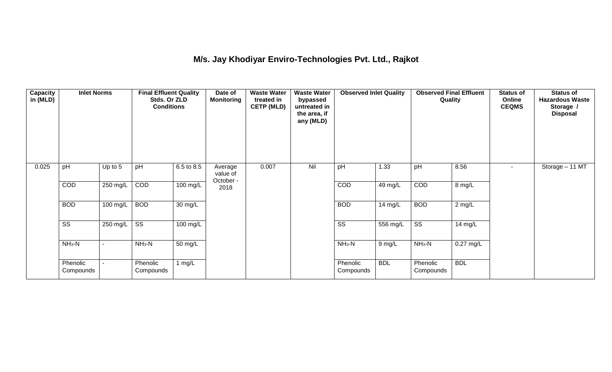## **M/s. Jay Khodiyar Enviro-Technologies Pvt. Ltd., Rajkot**

| <b>Capacity</b><br>in (MLD) | <b>Inlet Norms</b>     |                |                        | Date of<br><b>Final Effluent Quality</b><br>Monitoring<br>Stds. Or ZLD<br><b>Conditions</b> |                                  | <b>Waste Water</b><br>treated in<br><b>CETP (MLD)</b> | <b>Waste Water</b><br>bypassed<br>untreated in<br>the area, if<br>any (MLD) | <b>Observed Inlet Quality</b> |            | <b>Observed Final Effluent</b><br>Quality |             | <b>Status of</b><br>Online<br><b>CEQMS</b> | <b>Status of</b><br><b>Hazardous Waste</b><br>Storage /<br><b>Disposal</b> |
|-----------------------------|------------------------|----------------|------------------------|---------------------------------------------------------------------------------------------|----------------------------------|-------------------------------------------------------|-----------------------------------------------------------------------------|-------------------------------|------------|-------------------------------------------|-------------|--------------------------------------------|----------------------------------------------------------------------------|
| 0.025                       | pH                     | Up to 5        | pH                     | 6.5 to 8.5                                                                                  | Average<br>value of<br>October - | 0.007                                                 | Nil                                                                         | pH                            | 1.33       | pH                                        | 8.56        | $\sim$                                     | Storage - 11 MT                                                            |
|                             | COD                    | 250 mg/L       | COD                    | $100 \text{ mg/L}$                                                                          | 2018                             |                                                       |                                                                             | COD                           | 49 mg/L    | COD                                       | 8 mg/L      |                                            |                                                                            |
|                             | <b>BOD</b>             | 100 mg/L       | <b>BOD</b>             | $\overline{30}$ mg/L                                                                        |                                  |                                                       |                                                                             | <b>BOD</b>                    | 14 $mg/L$  | <b>BOD</b>                                | $2$ mg/L    |                                            |                                                                            |
|                             | $\overline{\text{ss}}$ | 250 mg/L       | $\overline{\text{ss}}$ | $\overline{100}$ mg/L                                                                       |                                  |                                                       |                                                                             | $\overline{\text{ss}}$        | 556 mg/L   | $\overline{\text{ss}}$                    | 14 mg/L     |                                            |                                                                            |
|                             | $NH3-N$                | $\blacksquare$ | $NH3-N$                | 50 mg/L                                                                                     |                                  |                                                       |                                                                             | $NH3-N$                       | 9 mg/L     | $NH3-N$                                   | $0.27$ mg/L |                                            |                                                                            |
|                             | Phenolic<br>Compounds  |                | Phenolic<br>Compounds  | 1 $mg/L$                                                                                    |                                  |                                                       |                                                                             | Phenolic<br>Compounds         | <b>BDL</b> | Phenolic<br>Compounds                     | <b>BDL</b>  |                                            |                                                                            |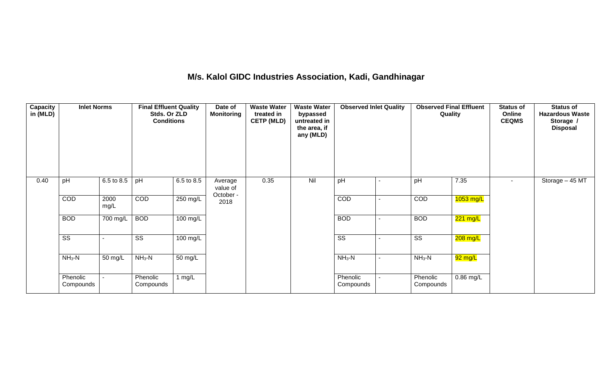#### **M/s. Kalol GIDC Industries Association, Kadi, Gandhinagar**

| Capacity<br>in (MLD) | <b>Inlet Norms</b>     |              | <b>Final Effluent Quality</b><br>Stds. Or ZLD<br><b>Conditions</b> |                    | Date of<br><b>Monitoring</b>     | <b>Waste Water</b><br>treated in<br><b>CETP (MLD)</b> | <b>Waste Water</b><br>bypassed<br>untreated in<br>the area, if<br>any (MLD)<br>Nil | <b>Observed Inlet Quality</b><br>pH |                | <b>Observed Final Effluent</b><br>Quality |             | <b>Status of</b><br>Online<br><b>CEQMS</b> | <b>Status of</b><br><b>Hazardous Waste</b><br>Storage /<br><b>Disposal</b> |
|----------------------|------------------------|--------------|--------------------------------------------------------------------|--------------------|----------------------------------|-------------------------------------------------------|------------------------------------------------------------------------------------|-------------------------------------|----------------|-------------------------------------------|-------------|--------------------------------------------|----------------------------------------------------------------------------|
| 0.40                 | pH                     | 6.5 to 8.5   | pH                                                                 | 6.5 to 8.5         | Average<br>value of<br>October - | 0.35                                                  |                                                                                    |                                     |                | pH                                        | 7.35        |                                            | Storage $-45$ MT                                                           |
|                      | COD                    | 2000<br>mg/L | COD                                                                | $250$ mg/L         | 2018                             |                                                       |                                                                                    | COD                                 | $\blacksquare$ | COD                                       | $1053$ mg/L |                                            |                                                                            |
|                      | <b>BOD</b>             | 700 mg/L     | <b>BOD</b>                                                         | $100 \text{ mg/L}$ |                                  |                                                       |                                                                                    | <b>BOD</b>                          |                | <b>BOD</b>                                | 221 mg/L    |                                            |                                                                            |
|                      | $\overline{\text{ss}}$ |              | $\overline{\text{ss}}$                                             | $100 \text{ mg/L}$ |                                  |                                                       |                                                                                    | $\overline{\text{ss}}$              |                | $\overline{\text{ss}}$                    | $208$ mg/L  |                                            |                                                                            |
|                      | $NH3-N$                | 50 mg/L      | $NH3-N$                                                            | 50 mg/L            |                                  |                                                       |                                                                                    | $NH3-N$                             | -              | $NH_3-N$                                  | 92 mg/L     |                                            |                                                                            |
|                      | Phenolic<br>Compounds  |              | Phenolic<br>Compounds                                              | 1 $mg/L$           |                                  |                                                       |                                                                                    | Phenolic<br>Compounds               |                | Phenolic<br>Compounds                     | $0.86$ mg/L |                                            |                                                                            |